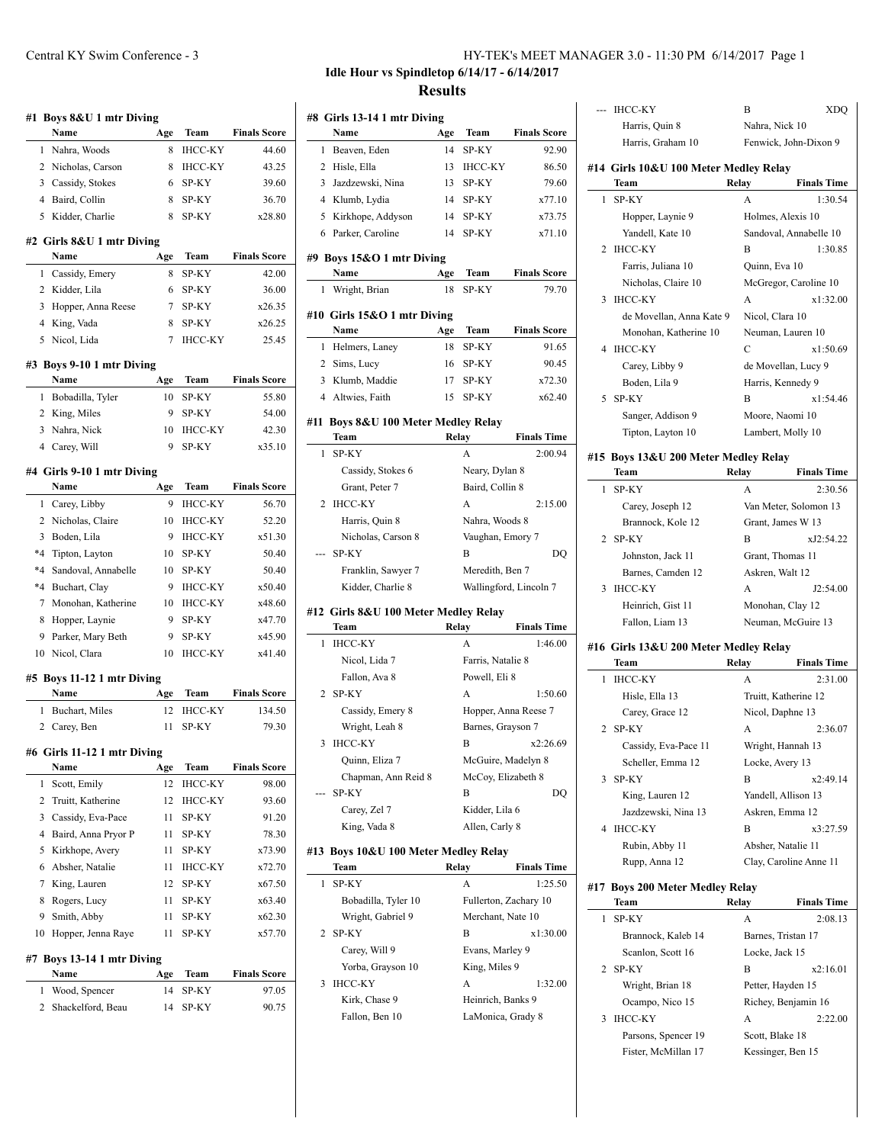|         | #1 Boys 8&U 1 mtr Diving<br><b>Name</b> | Age | Team           | <b>Finals Score</b>                                                 |
|---------|-----------------------------------------|-----|----------------|---------------------------------------------------------------------|
|         | 1 Nahra, Woods                          | 8   | <b>IHCC-KY</b> | 44.60                                                               |
|         | 2 Nicholas, Carson                      | 8   | IHCC-KY        | 43.25                                                               |
|         | 3 Cassidy, Stokes                       | 6   | SP-KY          |                                                                     |
|         |                                         |     |                | 39.60<br>36.70                                                      |
|         | 4 Baird, Collin                         | 8   | SP-KY          |                                                                     |
| 5       | Kidder, Charlie                         | 8   | SP-KY          | x28.80                                                              |
|         | #2 Girls 8&U 1 mtr Diving               |     |                |                                                                     |
|         | Name                                    | Age | Team           | <b>Finals Score</b>                                                 |
|         | 1 Cassidy, Emery                        | 8   | SP-KY          | 42.00                                                               |
|         | 2 Kidder, Lila                          | 6   | SP-KY          | 36.00                                                               |
|         | 3 Hopper, Anna Reese                    | 7   | SP-KY          | x26.35                                                              |
|         | 4 King, Vada                            | 8   | SP-KY          | x26.25                                                              |
|         | 5 Nicol, Lida                           | 7   | IHCC-KY        | 25.45                                                               |
|         | #3 Boys 9-10 1 mtr Diving               |     |                |                                                                     |
|         | Name                                    | Age | Team           | <b>Finals Score</b>                                                 |
| 1       | Bobadilla, Tyler                        | 10  | SP-KY          | 55.80                                                               |
|         | 2 King, Miles                           | 9   | SP-KY          | 54.00                                                               |
| 3       | Nahra, Nick                             | 10  | <b>IHCC-KY</b> | 42.30                                                               |
|         | 4 Carey, Will                           | 9   | SP-KY          | x35.10                                                              |
|         | #4 Girls 9-10 1 mtr Diving              |     |                |                                                                     |
|         | Name                                    | Age | Team           | <b>Finals Score</b>                                                 |
| 1       | Carey, Libby                            | 9   | <b>IHCC-KY</b> | 56.70                                                               |
| 2       | Nicholas, Claire                        | 10  | <b>IHCC-KY</b> | 52.20                                                               |
| 3       | Boden, Lila                             | 9   | <b>IHCC-KY</b> | x51.30                                                              |
|         | *4 Tipton, Layton                       | 10  | SP-KY          | 50.40                                                               |
| $*_{4}$ | Sandoval, Annabelle                     | 10  | SP-KY          | 50.40                                                               |
| $*_{4}$ | Buchart, Clay                           | 9   | <b>IHCC-KY</b> | x50.40                                                              |
| 7       | Monohan, Katherine                      | 10  | <b>IHCC-KY</b> | x48.60                                                              |
| 8       | Hopper, Laynie                          | 9   | SP-KY          | x47.70                                                              |
| 9       | Parker, Mary Beth                       | 9   | SP-KY          | x45.90                                                              |
|         | 10 Nicol, Clara                         | 10  | <b>IHCC-KY</b> | x41.40                                                              |
|         | #5 Boys 11-12 1 mtr Diving              |     |                |                                                                     |
|         | Name                                    | Age | Team           | <b>Finals Score</b>                                                 |
| 1       | Buchart, Miles                          | 12  | <b>IHCC-KY</b> | 134.50                                                              |
| 2       | Carey, Ben                              | 11  | SP-KY          | 79.30                                                               |
|         | #6 Girls 11-12 1 mtr Diving             |     |                |                                                                     |
|         | Name                                    | Age | Team           | <b>Finals Score</b>                                                 |
| 1       | Scott, Emily                            | 12  | <b>IHCC-KY</b> | 98.00                                                               |
| 2       | Truitt, Katherine                       | 12  | ІНСС-КҮ        | 93.60                                                               |
| 3       | Cassidy, Eva-Pace                       | 11  | SP-KY          | 91.20                                                               |
| 4       | Baird, Anna Pryor P                     | 11  | SP-KY          | 78.30                                                               |
| 5       | Kirkhope, Avery                         | 11  | SP-KY          | x73.90                                                              |
|         | Absher, Natalie                         | 11  | <b>IHCC-KY</b> | x72.70                                                              |
| 6       | King, Lauren                            | 12  | SP-KY          | x67.50                                                              |
| 7       |                                         |     |                |                                                                     |
| 8       | Rogers, Lucy                            | 11  | SP-KY          |                                                                     |
| 9       | Smith, Abby                             | 11  | SP-KY          |                                                                     |
| 10      | Hopper, Jenna Raye                      | 11  | SP-KY          |                                                                     |
|         | Boys 13-14 1 mtr Diving                 |     |                |                                                                     |
| #7      | Name                                    | Age | Team           |                                                                     |
| 1       | Wood, Spencer                           | 14  | SP-KY          |                                                                     |
| 2       | Shackelford, Beau                       | 14  | SP-KY          | x63.40<br>x62.30<br>x57.70<br><b>Finals Score</b><br>97.05<br>90.75 |

### Central KY Swim Conference - 3 HY-TEK's MEET MANAGER 3.0 - 11:30 PM 6/14/2017 Page 1

# **Idle Hour vs Spindletop 6/14/17 - 6/14/2017 Results**

|   | #8 Girls 13-14 1 mtr Diving                  |     |                       |                               |
|---|----------------------------------------------|-----|-----------------------|-------------------------------|
|   | Name                                         | Age | Team                  | <b>Finals Score</b>           |
| 1 | Beaven, Eden                                 | 14  | SP-KY                 | 92.90                         |
|   | Hisle, Ella<br>2                             | 13  | <b>IHCC-KY</b>        | 86.50                         |
|   | 3 Jazdzewski, Nina                           | 13  | <b>SP-KY</b>          | 79.60                         |
|   | 4 Klumb, Lydia                               |     | 14 SP-KY              | x77.10                        |
|   | 5 Kirkhope, Addyson                          | 14  | SP-KY                 | x73.75                        |
|   | 6 Parker, Caroline                           | 14  | SP-KY                 | x71.10                        |
|   | #9 Boys 15&O 1 mtr Diving                    |     |                       |                               |
|   | Name                                         | Age | Team                  | <b>Finals Score</b>           |
| 1 | Wright, Brian                                | 18  | SP-KY                 | 79.70                         |
|   | #10 Girls 15&O 1 mtr Diving                  |     |                       |                               |
|   | Name                                         | Age | <b>Team</b>           | <b>Finals Score</b>           |
| 1 | Helmers, Laney                               | 18  | SP-KY                 | 91.65                         |
|   | 2 Sims, Lucy                                 | 16  | SP-KY                 | 90.45                         |
|   | 3 Klumb, Maddie                              | 17  | SP-KY                 | x72.30                        |
|   | 4 Altwies, Faith                             | 15  | SP-KY                 | x62.40                        |
|   |                                              |     |                       |                               |
|   | #11 Boys 8&U 100 Meter Medley Relay<br>Team  |     | Relay                 | <b>Finals Time</b>            |
| 1 | <b>SP-KY</b>                                 |     | A                     | 2:00.94                       |
|   | Cassidy, Stokes 6                            |     | Neary, Dylan 8        |                               |
|   | Grant, Peter 7                               |     | Baird, Collin 8       |                               |
| 2 | <b>IHCC-KY</b>                               |     | $\mathsf{A}$          | 2:15.00                       |
|   | Harris, Quin 8                               |     | Nahra, Woods 8        |                               |
|   | Nicholas, Carson 8                           |     | Vaughan, Emory 7      |                               |
|   | SP-KY                                        |     | B                     | DO                            |
|   | Franklin, Sawyer 7                           |     | Meredith, Ben 7       |                               |
|   | Kidder, Charlie 8                            |     |                       | Wallingford, Lincoln 7        |
|   |                                              |     |                       |                               |
|   | #12 Girls 8&U 100 Meter Medley Relay<br>Team |     | Relay                 | <b>Finals Time</b>            |
| 1 | <b>IHCC-KY</b>                               |     | A                     | 1:46.00                       |
|   | Nicol, Lida 7                                |     | Farris, Natalie 8     |                               |
|   | Fallon, Ava 8                                |     | Powell, Eli 8         |                               |
| 2 | SP-KY                                        |     | A                     | 1:50.60                       |
|   | Cassidy, Emery 8                             |     |                       | Hopper, Anna Reese 7          |
|   | Wright, Leah 8                               |     | Barnes, Grayson 7     |                               |
| 3 | <b>IHCC-KY</b>                               |     | B                     | x2:26.69                      |
|   | Quinn, Eliza 7                               |     | McGuire, Madelyn 8    |                               |
|   | Chapman, Ann Reid 8                          |     | McCoy, Elizabeth 8    |                               |
|   | SP-KY                                        |     | В                     | DO                            |
|   | Carey, Zel 7                                 |     | Kidder, Lila 6        |                               |
|   | King, Vada 8                                 |     | Allen, Carly 8        |                               |
|   | #13 Boys 10&U 100 Meter Medley Relay         |     |                       |                               |
| 1 | Team<br>SP-KY                                |     | Relay<br>A            | <b>Finals Time</b><br>1:25.50 |
|   | Bobadilla, Tyler 10                          |     | Fullerton, Zachary 10 |                               |
|   | Wright, Gabriel 9                            |     | Merchant, Nate 10     |                               |
| 2 | SP-KY                                        |     | B                     | x1:30.00                      |
|   | Carey, Will 9                                |     | Evans, Marley 9       |                               |
|   | Yorba, Grayson 10                            |     | King, Miles 9         |                               |
| 3 | <b>IHCC-KY</b>                               |     | А                     | 1:32.00                       |
|   | Kirk, Chase 9                                |     | Heinrich, Banks 9     |                               |
|   | Fallon, Ben 10                               |     | LaMonica, Grady 8     |                               |
|   |                                              |     |                       |                               |
|   |                                              |     |                       |                               |

|              | --- ІНСС-КҮ                                   | В     | XDQ                         |
|--------------|-----------------------------------------------|-------|-----------------------------|
|              | Harris, Quin 8                                |       | Nahra, Nick 10              |
|              | Harris, Graham 10                             |       | Fenwick, John-Dixon 9       |
|              |                                               |       |                             |
|              | #14 Girls 10&U 100 Meter Medley Relay<br>Team | Relay | <b>Finals Time</b>          |
| $\mathbf{1}$ | SP-KY                                         | А     | 1:30.54                     |
|              | Hopper, Laynie 9                              |       | Holmes, Alexis 10           |
|              | Yandell, Kate 10                              |       | Sandoval, Annabelle 10      |
|              | 2 IHCC-KY                                     | B     | 1:30.85                     |
|              | Farris, Juliana 10                            |       | Quinn, Eva 10               |
|              | Nicholas, Claire 10                           |       |                             |
|              | 3 IHCC-KY                                     | A     | McGregor, Caroline 10       |
|              |                                               |       | x1:32.00                    |
|              | de Movellan, Anna Kate 9                      |       | Nicol, Clara 10             |
|              | Monohan, Katherine 10                         |       | Neuman, Lauren 10           |
|              | 4 IHCC-KY                                     | C     | x1:50.69                    |
|              | Carey, Libby 9                                |       | de Movellan, Lucy 9         |
|              | Boden, Lila 9                                 |       | Harris, Kennedy 9           |
| 5            | SP-KY                                         | B     | x1:54.46                    |
|              | Sanger, Addison 9                             |       | Moore, Naomi 10             |
|              | Tipton, Layton 10                             |       | Lambert, Molly 10           |
|              | #15 Boys 13&U 200 Meter Medley Relay          |       |                             |
|              | Team                                          | Relay | <b>Finals Time</b>          |
| $\mathbf{1}$ | SP-KY                                         | A     | 2:30.56                     |
|              | Carey, Joseph 12                              |       | Van Meter, Solomon 13       |
|              | Brannock, Kole 12                             |       | Grant, James W 13           |
| 2            | SP-KY                                         | B     | xJ2:54.22                   |
|              | Johnston, Jack 11                             |       | Grant, Thomas 11            |
|              | Barnes, Camden 12                             |       | Askren, Walt 12             |
| 3            | IHCC-KY                                       | A     | J2:54.00                    |
|              | Heinrich, Gist 11                             |       |                             |
|              |                                               |       | Monohan, Clay 12            |
|              | Fallon, Liam 13                               |       | Neuman, McGuire 13          |
|              |                                               |       |                             |
|              | #16 Girls 13&U 200 Meter Medley Relay<br>Team | Relay | <b>Finals Time</b>          |
| 1            | <b>IHCC-KY</b>                                | A     | 2:31.00                     |
|              | Hisle, Ella 13                                |       | Truitt, Katherine 12        |
|              |                                               |       |                             |
| 2            | Carey, Grace 12<br>SP-KY                      | А     | Nicol, Daphne 13<br>2:36.07 |
|              |                                               |       |                             |
|              | Cassidy, Eva-Pace 11                          |       | Wright, Hannah 13           |
| 3            | Scheller, Emma 12<br>SP-KY                    | B     | Locke, Avery 13<br>x2:49.14 |
|              |                                               |       | Yandell, Allison 13         |
|              | King, Lauren 12                               |       |                             |
| 4            | Jazdzewski, Nina 13                           | B     | Askren, Emma 12             |
|              | <b>IHCC-KY</b>                                |       | x3:27.59                    |
|              | Rubin, Abby 11                                |       | Absher, Natalie 11          |
|              | Rupp, Anna 12                                 |       | Clay, Caroline Anne 11      |
|              | #17 Boys 200 Meter Medley Relay               |       |                             |
|              | Team                                          | Relay | <b>Finals Time</b>          |
| 1            | SP-KY                                         | A     | 2:08.13                     |
|              | Brannock, Kaleb 14                            |       | Barnes, Tristan 17          |
|              | Scanlon, Scott 16                             |       | Locke, Jack 15              |
| 2            | SP-KY                                         | B     | x2:16.01                    |
|              | Wright, Brian 18                              |       | Petter, Hayden 15           |
|              | Ocampo, Nico 15                               |       | Richey, Benjamin 16         |
| 3            | <b>IHCC-KY</b>                                | А     | 2:22.00                     |
|              | Parsons, Spencer 19                           |       | Scott, Blake 18             |
|              | Fister, McMillan 17                           |       | Kessinger, Ben 15           |
|              |                                               |       |                             |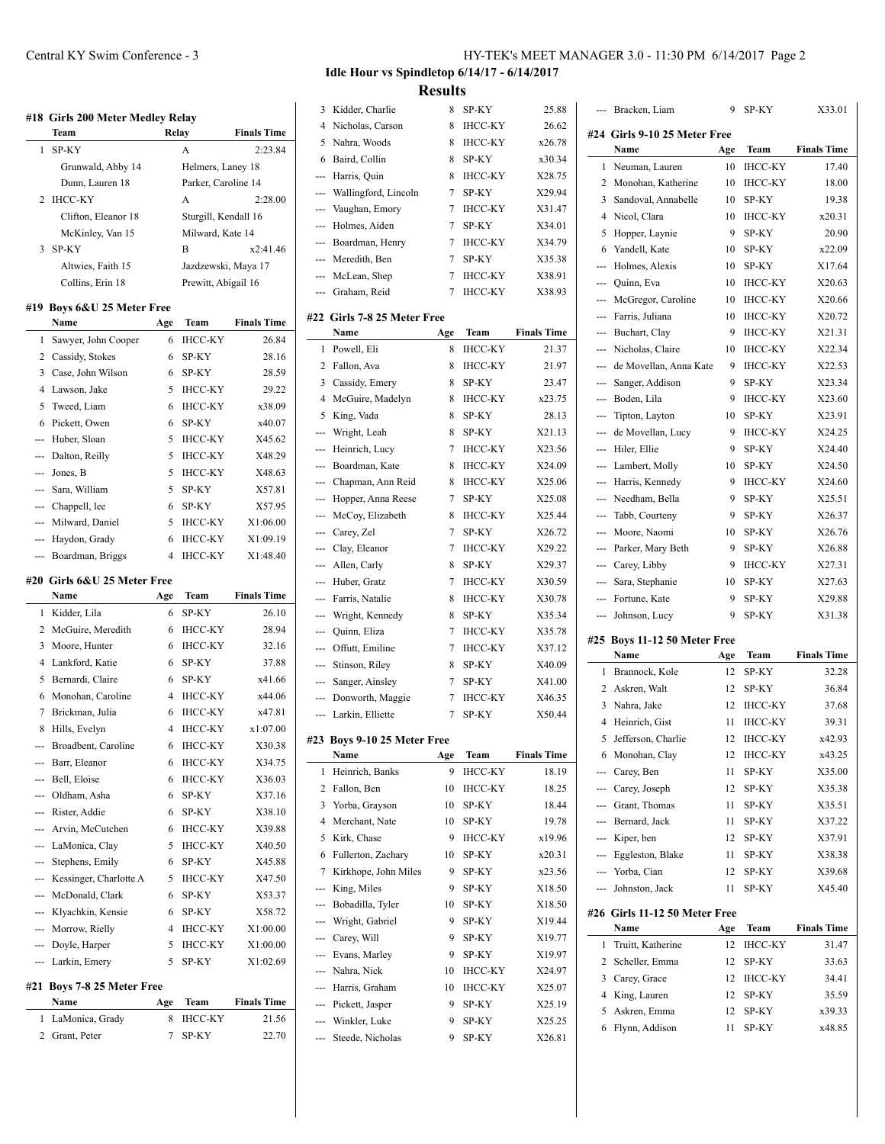|                | #18 Girls 200 Meter Medley Relay<br>Team | Relay          |                        | <b>Finals Time</b>          |
|----------------|------------------------------------------|----------------|------------------------|-----------------------------|
| 1              | SP-KY                                    |                | A                      | 2:23.84                     |
|                | Grunwald, Abby 14                        |                | Helmers, Laney 18      |                             |
|                | Dunn, Lauren 18                          |                | Parker, Caroline 14    |                             |
| 2              | <b>IHCC-KY</b>                           |                | A                      | 2:28.00                     |
|                |                                          |                |                        |                             |
|                | Clifton, Eleanor 18                      |                | Sturgill, Kendall 16   |                             |
|                | McKinley, Van 15                         |                | Milward, Kate 14       | x2:41.46                    |
| 3              | SP-KY                                    |                | B                      |                             |
|                | Altwies, Faith 15                        |                | Jazdzewski, Maya 17    |                             |
|                | Collins, Erin 18                         |                | Prewitt, Abigail 16    |                             |
|                | #19 Boys 6&U 25 Meter Free<br>Name       | Age            | Team                   | <b>Finals Time</b>          |
| 1              | Sawyer, John Cooper                      | 6              | <b>IHCC-KY</b>         | 26.84                       |
| $\overline{2}$ | Cassidy, Stokes                          | 6              | SP-KY                  | 28.16                       |
| 3              | Case, John Wilson                        | 6              | SP-KY                  | 28.59                       |
| 4              | Lawson, Jake                             | 5              | <b>IHCC-KY</b>         | 29.22                       |
| 5              | Tweed, Liam                              | 6              | <b>IHCC-KY</b>         | x38.09                      |
| 6              | Pickett, Owen                            | 6              | SP-KY                  | x40.07                      |
| ---            | Huber, Sloan                             | 5              | <b>IHCC-KY</b>         | X45.62                      |
| ---            | Dalton, Reilly                           | 5              | <b>IHCC-KY</b>         | X48.29                      |
| ---            | Jones, B                                 | 5              | <b>IHCC-KY</b>         | X48.63                      |
|                |                                          | 5              | SP-KY                  |                             |
|                | --- Sara, William                        |                |                        | X57.81                      |
|                | --- Chappell, lee                        | 6              | SP-KY                  | X57.95                      |
| $-$            | Milward, Daniel                          | 5              | <b>IHCC-KY</b>         | X1:06.00                    |
|                | Haydon, Grady                            | 6              | <b>IHCC-KY</b>         | X1:09.19                    |
|                | Boardman, Briggs                         | 4              | <b>IHCC-KY</b>         | X1:48.40                    |
|                |                                          |                |                        |                             |
|                | #20 Girls 6&U 25 Meter Free<br>Name      |                | Team                   | <b>Finals Time</b>          |
| 1              |                                          | Age<br>6       |                        |                             |
|                | Kidder, Lila                             |                | SP-KY                  | 26.10                       |
| 2<br>3         | McGuire, Meredith                        | 6<br>6         | <b>IHCC-KY</b>         | 28.94                       |
| 4              | Moore, Hunter                            |                | <b>IHCC-KY</b>         | 32.16                       |
|                | Lankford, Katie                          | 6              | SP-KY                  | 37.88                       |
| 5              | Bernardi, Claire                         | 6              | SP-KY                  | x41.66                      |
| 6              | Monohan, Caroline                        | 4              | <b>IHCC-KY</b>         | x44.06                      |
| 7              | Brickman, Julia                          | 6              | <b>IHCC-KY</b>         | x47.81                      |
| 8              | Hills, Evelyn                            | 4              | <b>IHCC-KY</b>         | x1:07.00                    |
|                | Broadbent, Caroline                      | 6              | IHCC-KY                | X30.38                      |
|                | Barr, Eleanor                            | 6              | IHCC-KY                | X34.75                      |
| ---            | Bell, Eloise                             | 6              | IHCC-KY                | X36.03                      |
|                | --- Oldham, Asha                         | 6              | SP-KY                  | X37.16                      |
|                | --- Rister, Addie                        | 6              | SP-KY                  | X38.10                      |
|                | --- Arvin, McCutchen                     | 6              | <b>IHCC-KY</b>         | X39.88                      |
|                | --- LaMonica, Clay                       | 5              | IHCC-KY                | X40.50                      |
|                | --- Stephens, Emily                      | 6              | SP-KY                  | X45.88                      |
|                | --- Kessinger, Charlotte A               | 5              | <b>IHCC-KY</b>         | X47.50                      |
|                | --- McDonald, Clark                      | 6              | SP-KY                  | X53.37                      |
|                | --- Klyachkin, Kensie                    | 6              | SP-KY                  | X58.72                      |
|                | --- Morrow, Rielly                       | $\overline{4}$ | <b>IHCC-KY</b>         | X1:00.00                    |
|                | --- Doyle, Harper                        | 5              | IHCC-KY                | X1:00.00                    |
|                | --- Larkin, Emery                        | 5              | SP-KY                  | X1:02.69                    |
|                | #21 Boys 7-8 25 Meter Free               |                |                        |                             |
| 1              | Name<br>LaMonica, Grady                  | Age<br>8       | Team<br><b>IHCC-KY</b> | <b>Finals Time</b><br>21.56 |

# **Idle Hour vs Spindletop 6/14/17 - 6/14/2017 Results**

| 3              | Kidder, Charlie             | 8   | SP-KY          | 25.88              |
|----------------|-----------------------------|-----|----------------|--------------------|
| 4              | Nicholas, Carson            | 8   | ІНСС-КҮ        | 26.62              |
| 5              | Nahra, Woods                | 8   | <b>IHCC-KY</b> | x26.78             |
| 6              | Baird, Collin               | 8   | SP-KY          | x30.34             |
| ---            | Harris, Quin                | 8   | ІНСС-КҮ        | X28.75             |
| ---            | Wallingford, Lincoln        | 7   | SP-KY          | X29.94             |
| ---            | Vaughan, Emory              | 7   | <b>IHCC-KY</b> | X31.47             |
| $\overline{a}$ | Holmes, Aiden               | 7   | SP-KY          | X34.01             |
| ---            | Boardman, Henry             | 7   | <b>IHCC-KY</b> | X34.79             |
| ---            | Meredith, Ben               | 7   | SP-KY          | X35.38             |
| ---            | McLean, Shep                | 7   | <b>IHCC-KY</b> | X38.91             |
| ---            | Graham, Reid                | 7   | <b>IHCC-KY</b> | X38.93             |
|                |                             |     |                |                    |
|                | #22 Girls 7-8 25 Meter Free |     | Team           |                    |
|                | Name                        | Age |                | <b>Finals Time</b> |
| 1              | Powell, Eli                 | 8   | ІНСС-КҮ        | 21.37              |
| 2              | Fallon, Ava                 | 8   | <b>IHCC-KY</b> | 21.97              |
| 3              | Cassidy, Emery              | 8   | SP-KY          | 23.47              |
| 4              | McGuire, Madelyn            | 8   | <b>IHCC-KY</b> | x23.75             |
| 5              | King, Vada                  | 8   | SP-KY          | 28.13              |
| ---            | Wright, Leah                | 8   | SP-KY          | X21.13             |
| $\overline{a}$ | Heinrich, Lucy              | 7   | <b>IHCC-KY</b> | X23.56             |
| ---            | Boardman, Kate              | 8   | IHCC-KY        | X24.09             |
| ---            | Chapman, Ann Reid           | 8   | <b>IHCC-KY</b> | X25.06             |
| ---            | Hopper, Anna Reese          | 7   | SP-KY          | X25.08             |
| ---            | McCoy, Elizabeth            | 8   | <b>IHCC-KY</b> | X25.44             |
|                | --- Carey, Zel              | 7   | SP-KY          | X26.72             |
|                | --- Clay, Eleanor           | 7   | ІНСС-КҮ        | X29.22             |
| ---            | Allen, Carly                | 8   | SP-KY          | X29.37             |
| $-$            | Huber, Gratz                | 7   | <b>IHCC-KY</b> | X30.59             |
|                | Farris, Natalie             | 8   | <b>IHCC-KY</b> | X30.78             |
| ---            | Wright, Kennedy             | 8   | SP-KY          | X35.34             |
| ---            | Quinn, Eliza                | 7   | <b>IHCC-KY</b> | X35.78             |
| ---            | Offutt, Emiline             | 7   | <b>IHCC-KY</b> | X37.12             |
| ---            | Stinson, Riley              | 8   | SP-KY          | X40.09             |
| ---            | Sanger, Ainsley             | 7   | SP-KY          | X41.00             |
| ---            | Donworth, Maggie            | 7   | <b>IHCC-KY</b> | X46.35             |
| ---            | Larkin, Elliette            | 7   | SP-KY          | X50.44             |
|                | #23 Boys 9-10 25 Meter Free |     |                |                    |
|                | Name                        | Age | Team           | <b>Finals Time</b> |
| 1              | Heinrich, Banks             | 9   | <b>IHCC-KY</b> | 18.19              |
| 2              | Fallon, Ben                 | 10  | IHCC-KY        | 18.25              |
| 3              | Yorba, Grayson              | 10  | SP-KY          | 18.44              |
| 4              | Merchant, Nate              | 10  | SP-KY          | 19.78              |
| 5              | Kirk, Chase                 | 9   | <b>IHCC-KY</b> | x19.96             |
| 6              | Fullerton, Zachary          | 10  | SP-KY          | x20.31             |
| 7              | Kirkhope, John Miles        | 9   | SP-KY          | x23.56             |
| ---            | King, Miles                 | 9   | SP-KY          | X18.50             |
| ---            | Bobadilla, Tyler            | 10  | SP-KY          | X18.50             |
|                | --- Wright, Gabriel         | 9   | SP-KY          | X19.44             |
|                | --- Carey, Will             | 9   | SP-KY          | X19.77             |
|                | --- Evans, Marley           | 9   | SP-KY          | X19.97             |
|                |                             |     |                |                    |
|                | --- Nahra, Nick             | 10  | ІНСС-КҮ        | X24.97             |
|                | --- Harris, Graham          | 10  | <b>IHCC-KY</b> | X25.07             |
|                | --- Pickett, Jasper         | 9   | SP-KY          | X25.19             |
| ---            | Winkler, Luke               | 9   | SP-KY          | X25.25             |

| #24 Girls 9-10 25 Meter Free<br>Name<br>Team<br><b>Finals Time</b><br>Age<br>Neuman, Lauren<br>10<br>ІНСС-КҮ<br>17.40<br>1<br>2<br>Monohan, Katherine<br><b>IHCC-KY</b><br>10<br>18.00<br>Sandoval, Annabelle<br>3<br>SP-KY<br>10<br>19.38<br>$\overline{4}$<br>Nicol, Clara<br><b>IHCC-KY</b><br>x20.31<br>10<br>5<br>Hopper, Laynie<br>9<br>SP-KY<br>20.90<br>Yandell, Kate<br>6<br>10<br>SP-KY<br>x22.09<br>Holmes, Alexis<br>10<br>SP-KY<br>X17.64<br>$\overline{a}$<br>Quinn, Eva<br><b>IHCC-KY</b><br>X20.63<br>10<br>$\cdots$<br>McGregor, Caroline<br>10<br>IHCC-KY<br>X20.66<br>---<br>Farris, Juliana<br><b>IHCC-KY</b><br>10<br>X20.72<br>---<br>Buchart, Clay<br>9<br><b>IHCC-KY</b><br>X21.31<br>---<br>Nicholas, Claire<br><b>IHCC-KY</b><br>X22.34<br>10<br>$\overline{a}$<br>de Movellan, Anna Kate<br><b>IHCC-KY</b><br>9<br>X22.53<br>$---$<br>Sanger, Addison<br>9<br>SP-KY<br>X23.34<br>$\cdots$<br>Boden, Lila<br><b>IHCC-KY</b><br>X23.60<br>9<br>$\overline{a}$<br>SP-KY<br>X23.91<br>Tipton, Layton<br>10<br>de Movellan, Lucy<br><b>IHCC-KY</b><br>X24.25<br>9<br>---<br>Hiler, Ellie<br>9<br>SP-KY<br>X24.40<br>$\overline{a}$<br>Lambert, Molly<br>10<br>SP-KY<br>X24.50<br>$\cdots$<br>Harris, Kennedy<br>9<br>X24.60<br><b>IHCC-KY</b><br>---<br>Needham, Bella<br>9<br>SP-KY<br>X25.51<br>---<br>Tabb, Courteny<br>9<br>SP-KY<br>X26.37<br>---<br>Moore, Naomi<br>SP-KY<br>X26.76<br>10<br>---<br>Parker, Mary Beth<br>9<br>SP-KY<br>X26.88<br>---<br>--- Carey, Libby<br>9<br><b>IHCC-KY</b><br>X27.31<br>Sara, Stephanie<br>SP-KY<br>X27.63<br>10<br>---<br>Fortune, Kate<br>X29.88<br>9<br>SP-KY<br>$\overline{a}$<br>9<br>SP-KY<br>X31.38<br>Johnson, Lucy<br>---<br>#25 Boys 11-12 50 Meter Free<br>Name<br>Team<br><b>Finals Time</b><br>Age<br>12<br>32.28<br>1<br>Brannock, Kole<br>SP-KY<br>2<br>Askren, Walt<br>12<br>SP-KY<br>36.84<br>3<br>Nahra, Jake<br>12<br><b>IHCC-KY</b><br>37.68<br>Heinrich, Gist<br><b>IHCC-KY</b><br>4<br>11<br>39.31<br>5<br>Jefferson, Charlie<br><b>IHCC-KY</b><br>12<br>x42.93<br><b>IHCC-KY</b><br>x43.25<br>6 Monohan, Clay<br>12<br>--- Carey, Ben<br>SP-KY<br>X35.00<br>11<br>--- Carey, Joseph<br>X35.38<br>12<br>SP-KY<br>--- Grant, Thomas<br>SP-KY<br>11<br>X35.51<br>--- Bernard, Jack<br>11<br>SP-KY<br>X37.22<br>--- Kiper, ben<br>12<br>SP-KY<br>X37.91<br>--- Eggleston, Blake<br>11<br>SP-KY<br>X38.38<br>--- Yorba, Cian<br>12<br>SP-KY<br>X39.68<br>--- Johnston, Jack<br>11<br>SP-KY<br>X45.40<br>#26 Girls 11-12 50 Meter Free<br>Name<br>Team<br><b>Finals Time</b><br>Age<br>Truitt, Katherine<br>12<br><b>IHCC-KY</b><br>31.47<br>1<br>Scheller, Emma<br>2<br>SP-KY<br>12<br>33.63<br>3<br>Carey, Grace<br>IHCC-KY<br>12<br>34.41<br>King, Lauren<br>4<br>12<br>SP-KY<br>35.59<br>Askren, Emma<br>5<br>12<br>SP-KY<br>x39.33<br>Flynn, Addison<br>x48.85<br>6<br>11<br>SP-KY | Bracken, Liam | 9 | SP-KY | X33.01 |
|---------------------------------------------------------------------------------------------------------------------------------------------------------------------------------------------------------------------------------------------------------------------------------------------------------------------------------------------------------------------------------------------------------------------------------------------------------------------------------------------------------------------------------------------------------------------------------------------------------------------------------------------------------------------------------------------------------------------------------------------------------------------------------------------------------------------------------------------------------------------------------------------------------------------------------------------------------------------------------------------------------------------------------------------------------------------------------------------------------------------------------------------------------------------------------------------------------------------------------------------------------------------------------------------------------------------------------------------------------------------------------------------------------------------------------------------------------------------------------------------------------------------------------------------------------------------------------------------------------------------------------------------------------------------------------------------------------------------------------------------------------------------------------------------------------------------------------------------------------------------------------------------------------------------------------------------------------------------------------------------------------------------------------------------------------------------------------------------------------------------------------------------------------------------------------------------------------------------------------------------------------------------------------------------------------------------------------------------------------------------------------------------------------------------------------------------------------------------------------------------------------------------------------------------------------------------------------------------------------------------------------------------------------------------------------------------------------------------------------------------------------------------------------------------------------------------------------------------------------------------------|---------------|---|-------|--------|
|                                                                                                                                                                                                                                                                                                                                                                                                                                                                                                                                                                                                                                                                                                                                                                                                                                                                                                                                                                                                                                                                                                                                                                                                                                                                                                                                                                                                                                                                                                                                                                                                                                                                                                                                                                                                                                                                                                                                                                                                                                                                                                                                                                                                                                                                                                                                                                                                                                                                                                                                                                                                                                                                                                                                                                                                                                                                           |               |   |       |        |
|                                                                                                                                                                                                                                                                                                                                                                                                                                                                                                                                                                                                                                                                                                                                                                                                                                                                                                                                                                                                                                                                                                                                                                                                                                                                                                                                                                                                                                                                                                                                                                                                                                                                                                                                                                                                                                                                                                                                                                                                                                                                                                                                                                                                                                                                                                                                                                                                                                                                                                                                                                                                                                                                                                                                                                                                                                                                           |               |   |       |        |
|                                                                                                                                                                                                                                                                                                                                                                                                                                                                                                                                                                                                                                                                                                                                                                                                                                                                                                                                                                                                                                                                                                                                                                                                                                                                                                                                                                                                                                                                                                                                                                                                                                                                                                                                                                                                                                                                                                                                                                                                                                                                                                                                                                                                                                                                                                                                                                                                                                                                                                                                                                                                                                                                                                                                                                                                                                                                           |               |   |       |        |
|                                                                                                                                                                                                                                                                                                                                                                                                                                                                                                                                                                                                                                                                                                                                                                                                                                                                                                                                                                                                                                                                                                                                                                                                                                                                                                                                                                                                                                                                                                                                                                                                                                                                                                                                                                                                                                                                                                                                                                                                                                                                                                                                                                                                                                                                                                                                                                                                                                                                                                                                                                                                                                                                                                                                                                                                                                                                           |               |   |       |        |
|                                                                                                                                                                                                                                                                                                                                                                                                                                                                                                                                                                                                                                                                                                                                                                                                                                                                                                                                                                                                                                                                                                                                                                                                                                                                                                                                                                                                                                                                                                                                                                                                                                                                                                                                                                                                                                                                                                                                                                                                                                                                                                                                                                                                                                                                                                                                                                                                                                                                                                                                                                                                                                                                                                                                                                                                                                                                           |               |   |       |        |
|                                                                                                                                                                                                                                                                                                                                                                                                                                                                                                                                                                                                                                                                                                                                                                                                                                                                                                                                                                                                                                                                                                                                                                                                                                                                                                                                                                                                                                                                                                                                                                                                                                                                                                                                                                                                                                                                                                                                                                                                                                                                                                                                                                                                                                                                                                                                                                                                                                                                                                                                                                                                                                                                                                                                                                                                                                                                           |               |   |       |        |
|                                                                                                                                                                                                                                                                                                                                                                                                                                                                                                                                                                                                                                                                                                                                                                                                                                                                                                                                                                                                                                                                                                                                                                                                                                                                                                                                                                                                                                                                                                                                                                                                                                                                                                                                                                                                                                                                                                                                                                                                                                                                                                                                                                                                                                                                                                                                                                                                                                                                                                                                                                                                                                                                                                                                                                                                                                                                           |               |   |       |        |
|                                                                                                                                                                                                                                                                                                                                                                                                                                                                                                                                                                                                                                                                                                                                                                                                                                                                                                                                                                                                                                                                                                                                                                                                                                                                                                                                                                                                                                                                                                                                                                                                                                                                                                                                                                                                                                                                                                                                                                                                                                                                                                                                                                                                                                                                                                                                                                                                                                                                                                                                                                                                                                                                                                                                                                                                                                                                           |               |   |       |        |
|                                                                                                                                                                                                                                                                                                                                                                                                                                                                                                                                                                                                                                                                                                                                                                                                                                                                                                                                                                                                                                                                                                                                                                                                                                                                                                                                                                                                                                                                                                                                                                                                                                                                                                                                                                                                                                                                                                                                                                                                                                                                                                                                                                                                                                                                                                                                                                                                                                                                                                                                                                                                                                                                                                                                                                                                                                                                           |               |   |       |        |
|                                                                                                                                                                                                                                                                                                                                                                                                                                                                                                                                                                                                                                                                                                                                                                                                                                                                                                                                                                                                                                                                                                                                                                                                                                                                                                                                                                                                                                                                                                                                                                                                                                                                                                                                                                                                                                                                                                                                                                                                                                                                                                                                                                                                                                                                                                                                                                                                                                                                                                                                                                                                                                                                                                                                                                                                                                                                           |               |   |       |        |
|                                                                                                                                                                                                                                                                                                                                                                                                                                                                                                                                                                                                                                                                                                                                                                                                                                                                                                                                                                                                                                                                                                                                                                                                                                                                                                                                                                                                                                                                                                                                                                                                                                                                                                                                                                                                                                                                                                                                                                                                                                                                                                                                                                                                                                                                                                                                                                                                                                                                                                                                                                                                                                                                                                                                                                                                                                                                           |               |   |       |        |
|                                                                                                                                                                                                                                                                                                                                                                                                                                                                                                                                                                                                                                                                                                                                                                                                                                                                                                                                                                                                                                                                                                                                                                                                                                                                                                                                                                                                                                                                                                                                                                                                                                                                                                                                                                                                                                                                                                                                                                                                                                                                                                                                                                                                                                                                                                                                                                                                                                                                                                                                                                                                                                                                                                                                                                                                                                                                           |               |   |       |        |
|                                                                                                                                                                                                                                                                                                                                                                                                                                                                                                                                                                                                                                                                                                                                                                                                                                                                                                                                                                                                                                                                                                                                                                                                                                                                                                                                                                                                                                                                                                                                                                                                                                                                                                                                                                                                                                                                                                                                                                                                                                                                                                                                                                                                                                                                                                                                                                                                                                                                                                                                                                                                                                                                                                                                                                                                                                                                           |               |   |       |        |
|                                                                                                                                                                                                                                                                                                                                                                                                                                                                                                                                                                                                                                                                                                                                                                                                                                                                                                                                                                                                                                                                                                                                                                                                                                                                                                                                                                                                                                                                                                                                                                                                                                                                                                                                                                                                                                                                                                                                                                                                                                                                                                                                                                                                                                                                                                                                                                                                                                                                                                                                                                                                                                                                                                                                                                                                                                                                           |               |   |       |        |
|                                                                                                                                                                                                                                                                                                                                                                                                                                                                                                                                                                                                                                                                                                                                                                                                                                                                                                                                                                                                                                                                                                                                                                                                                                                                                                                                                                                                                                                                                                                                                                                                                                                                                                                                                                                                                                                                                                                                                                                                                                                                                                                                                                                                                                                                                                                                                                                                                                                                                                                                                                                                                                                                                                                                                                                                                                                                           |               |   |       |        |
|                                                                                                                                                                                                                                                                                                                                                                                                                                                                                                                                                                                                                                                                                                                                                                                                                                                                                                                                                                                                                                                                                                                                                                                                                                                                                                                                                                                                                                                                                                                                                                                                                                                                                                                                                                                                                                                                                                                                                                                                                                                                                                                                                                                                                                                                                                                                                                                                                                                                                                                                                                                                                                                                                                                                                                                                                                                                           |               |   |       |        |
|                                                                                                                                                                                                                                                                                                                                                                                                                                                                                                                                                                                                                                                                                                                                                                                                                                                                                                                                                                                                                                                                                                                                                                                                                                                                                                                                                                                                                                                                                                                                                                                                                                                                                                                                                                                                                                                                                                                                                                                                                                                                                                                                                                                                                                                                                                                                                                                                                                                                                                                                                                                                                                                                                                                                                                                                                                                                           |               |   |       |        |
|                                                                                                                                                                                                                                                                                                                                                                                                                                                                                                                                                                                                                                                                                                                                                                                                                                                                                                                                                                                                                                                                                                                                                                                                                                                                                                                                                                                                                                                                                                                                                                                                                                                                                                                                                                                                                                                                                                                                                                                                                                                                                                                                                                                                                                                                                                                                                                                                                                                                                                                                                                                                                                                                                                                                                                                                                                                                           |               |   |       |        |
|                                                                                                                                                                                                                                                                                                                                                                                                                                                                                                                                                                                                                                                                                                                                                                                                                                                                                                                                                                                                                                                                                                                                                                                                                                                                                                                                                                                                                                                                                                                                                                                                                                                                                                                                                                                                                                                                                                                                                                                                                                                                                                                                                                                                                                                                                                                                                                                                                                                                                                                                                                                                                                                                                                                                                                                                                                                                           |               |   |       |        |
|                                                                                                                                                                                                                                                                                                                                                                                                                                                                                                                                                                                                                                                                                                                                                                                                                                                                                                                                                                                                                                                                                                                                                                                                                                                                                                                                                                                                                                                                                                                                                                                                                                                                                                                                                                                                                                                                                                                                                                                                                                                                                                                                                                                                                                                                                                                                                                                                                                                                                                                                                                                                                                                                                                                                                                                                                                                                           |               |   |       |        |
|                                                                                                                                                                                                                                                                                                                                                                                                                                                                                                                                                                                                                                                                                                                                                                                                                                                                                                                                                                                                                                                                                                                                                                                                                                                                                                                                                                                                                                                                                                                                                                                                                                                                                                                                                                                                                                                                                                                                                                                                                                                                                                                                                                                                                                                                                                                                                                                                                                                                                                                                                                                                                                                                                                                                                                                                                                                                           |               |   |       |        |
|                                                                                                                                                                                                                                                                                                                                                                                                                                                                                                                                                                                                                                                                                                                                                                                                                                                                                                                                                                                                                                                                                                                                                                                                                                                                                                                                                                                                                                                                                                                                                                                                                                                                                                                                                                                                                                                                                                                                                                                                                                                                                                                                                                                                                                                                                                                                                                                                                                                                                                                                                                                                                                                                                                                                                                                                                                                                           |               |   |       |        |
|                                                                                                                                                                                                                                                                                                                                                                                                                                                                                                                                                                                                                                                                                                                                                                                                                                                                                                                                                                                                                                                                                                                                                                                                                                                                                                                                                                                                                                                                                                                                                                                                                                                                                                                                                                                                                                                                                                                                                                                                                                                                                                                                                                                                                                                                                                                                                                                                                                                                                                                                                                                                                                                                                                                                                                                                                                                                           |               |   |       |        |
|                                                                                                                                                                                                                                                                                                                                                                                                                                                                                                                                                                                                                                                                                                                                                                                                                                                                                                                                                                                                                                                                                                                                                                                                                                                                                                                                                                                                                                                                                                                                                                                                                                                                                                                                                                                                                                                                                                                                                                                                                                                                                                                                                                                                                                                                                                                                                                                                                                                                                                                                                                                                                                                                                                                                                                                                                                                                           |               |   |       |        |
|                                                                                                                                                                                                                                                                                                                                                                                                                                                                                                                                                                                                                                                                                                                                                                                                                                                                                                                                                                                                                                                                                                                                                                                                                                                                                                                                                                                                                                                                                                                                                                                                                                                                                                                                                                                                                                                                                                                                                                                                                                                                                                                                                                                                                                                                                                                                                                                                                                                                                                                                                                                                                                                                                                                                                                                                                                                                           |               |   |       |        |
|                                                                                                                                                                                                                                                                                                                                                                                                                                                                                                                                                                                                                                                                                                                                                                                                                                                                                                                                                                                                                                                                                                                                                                                                                                                                                                                                                                                                                                                                                                                                                                                                                                                                                                                                                                                                                                                                                                                                                                                                                                                                                                                                                                                                                                                                                                                                                                                                                                                                                                                                                                                                                                                                                                                                                                                                                                                                           |               |   |       |        |
|                                                                                                                                                                                                                                                                                                                                                                                                                                                                                                                                                                                                                                                                                                                                                                                                                                                                                                                                                                                                                                                                                                                                                                                                                                                                                                                                                                                                                                                                                                                                                                                                                                                                                                                                                                                                                                                                                                                                                                                                                                                                                                                                                                                                                                                                                                                                                                                                                                                                                                                                                                                                                                                                                                                                                                                                                                                                           |               |   |       |        |
|                                                                                                                                                                                                                                                                                                                                                                                                                                                                                                                                                                                                                                                                                                                                                                                                                                                                                                                                                                                                                                                                                                                                                                                                                                                                                                                                                                                                                                                                                                                                                                                                                                                                                                                                                                                                                                                                                                                                                                                                                                                                                                                                                                                                                                                                                                                                                                                                                                                                                                                                                                                                                                                                                                                                                                                                                                                                           |               |   |       |        |
|                                                                                                                                                                                                                                                                                                                                                                                                                                                                                                                                                                                                                                                                                                                                                                                                                                                                                                                                                                                                                                                                                                                                                                                                                                                                                                                                                                                                                                                                                                                                                                                                                                                                                                                                                                                                                                                                                                                                                                                                                                                                                                                                                                                                                                                                                                                                                                                                                                                                                                                                                                                                                                                                                                                                                                                                                                                                           |               |   |       |        |
|                                                                                                                                                                                                                                                                                                                                                                                                                                                                                                                                                                                                                                                                                                                                                                                                                                                                                                                                                                                                                                                                                                                                                                                                                                                                                                                                                                                                                                                                                                                                                                                                                                                                                                                                                                                                                                                                                                                                                                                                                                                                                                                                                                                                                                                                                                                                                                                                                                                                                                                                                                                                                                                                                                                                                                                                                                                                           |               |   |       |        |
|                                                                                                                                                                                                                                                                                                                                                                                                                                                                                                                                                                                                                                                                                                                                                                                                                                                                                                                                                                                                                                                                                                                                                                                                                                                                                                                                                                                                                                                                                                                                                                                                                                                                                                                                                                                                                                                                                                                                                                                                                                                                                                                                                                                                                                                                                                                                                                                                                                                                                                                                                                                                                                                                                                                                                                                                                                                                           |               |   |       |        |
|                                                                                                                                                                                                                                                                                                                                                                                                                                                                                                                                                                                                                                                                                                                                                                                                                                                                                                                                                                                                                                                                                                                                                                                                                                                                                                                                                                                                                                                                                                                                                                                                                                                                                                                                                                                                                                                                                                                                                                                                                                                                                                                                                                                                                                                                                                                                                                                                                                                                                                                                                                                                                                                                                                                                                                                                                                                                           |               |   |       |        |
|                                                                                                                                                                                                                                                                                                                                                                                                                                                                                                                                                                                                                                                                                                                                                                                                                                                                                                                                                                                                                                                                                                                                                                                                                                                                                                                                                                                                                                                                                                                                                                                                                                                                                                                                                                                                                                                                                                                                                                                                                                                                                                                                                                                                                                                                                                                                                                                                                                                                                                                                                                                                                                                                                                                                                                                                                                                                           |               |   |       |        |
|                                                                                                                                                                                                                                                                                                                                                                                                                                                                                                                                                                                                                                                                                                                                                                                                                                                                                                                                                                                                                                                                                                                                                                                                                                                                                                                                                                                                                                                                                                                                                                                                                                                                                                                                                                                                                                                                                                                                                                                                                                                                                                                                                                                                                                                                                                                                                                                                                                                                                                                                                                                                                                                                                                                                                                                                                                                                           |               |   |       |        |
|                                                                                                                                                                                                                                                                                                                                                                                                                                                                                                                                                                                                                                                                                                                                                                                                                                                                                                                                                                                                                                                                                                                                                                                                                                                                                                                                                                                                                                                                                                                                                                                                                                                                                                                                                                                                                                                                                                                                                                                                                                                                                                                                                                                                                                                                                                                                                                                                                                                                                                                                                                                                                                                                                                                                                                                                                                                                           |               |   |       |        |
|                                                                                                                                                                                                                                                                                                                                                                                                                                                                                                                                                                                                                                                                                                                                                                                                                                                                                                                                                                                                                                                                                                                                                                                                                                                                                                                                                                                                                                                                                                                                                                                                                                                                                                                                                                                                                                                                                                                                                                                                                                                                                                                                                                                                                                                                                                                                                                                                                                                                                                                                                                                                                                                                                                                                                                                                                                                                           |               |   |       |        |
|                                                                                                                                                                                                                                                                                                                                                                                                                                                                                                                                                                                                                                                                                                                                                                                                                                                                                                                                                                                                                                                                                                                                                                                                                                                                                                                                                                                                                                                                                                                                                                                                                                                                                                                                                                                                                                                                                                                                                                                                                                                                                                                                                                                                                                                                                                                                                                                                                                                                                                                                                                                                                                                                                                                                                                                                                                                                           |               |   |       |        |
|                                                                                                                                                                                                                                                                                                                                                                                                                                                                                                                                                                                                                                                                                                                                                                                                                                                                                                                                                                                                                                                                                                                                                                                                                                                                                                                                                                                                                                                                                                                                                                                                                                                                                                                                                                                                                                                                                                                                                                                                                                                                                                                                                                                                                                                                                                                                                                                                                                                                                                                                                                                                                                                                                                                                                                                                                                                                           |               |   |       |        |
|                                                                                                                                                                                                                                                                                                                                                                                                                                                                                                                                                                                                                                                                                                                                                                                                                                                                                                                                                                                                                                                                                                                                                                                                                                                                                                                                                                                                                                                                                                                                                                                                                                                                                                                                                                                                                                                                                                                                                                                                                                                                                                                                                                                                                                                                                                                                                                                                                                                                                                                                                                                                                                                                                                                                                                                                                                                                           |               |   |       |        |
|                                                                                                                                                                                                                                                                                                                                                                                                                                                                                                                                                                                                                                                                                                                                                                                                                                                                                                                                                                                                                                                                                                                                                                                                                                                                                                                                                                                                                                                                                                                                                                                                                                                                                                                                                                                                                                                                                                                                                                                                                                                                                                                                                                                                                                                                                                                                                                                                                                                                                                                                                                                                                                                                                                                                                                                                                                                                           |               |   |       |        |
|                                                                                                                                                                                                                                                                                                                                                                                                                                                                                                                                                                                                                                                                                                                                                                                                                                                                                                                                                                                                                                                                                                                                                                                                                                                                                                                                                                                                                                                                                                                                                                                                                                                                                                                                                                                                                                                                                                                                                                                                                                                                                                                                                                                                                                                                                                                                                                                                                                                                                                                                                                                                                                                                                                                                                                                                                                                                           |               |   |       |        |
|                                                                                                                                                                                                                                                                                                                                                                                                                                                                                                                                                                                                                                                                                                                                                                                                                                                                                                                                                                                                                                                                                                                                                                                                                                                                                                                                                                                                                                                                                                                                                                                                                                                                                                                                                                                                                                                                                                                                                                                                                                                                                                                                                                                                                                                                                                                                                                                                                                                                                                                                                                                                                                                                                                                                                                                                                                                                           |               |   |       |        |
|                                                                                                                                                                                                                                                                                                                                                                                                                                                                                                                                                                                                                                                                                                                                                                                                                                                                                                                                                                                                                                                                                                                                                                                                                                                                                                                                                                                                                                                                                                                                                                                                                                                                                                                                                                                                                                                                                                                                                                                                                                                                                                                                                                                                                                                                                                                                                                                                                                                                                                                                                                                                                                                                                                                                                                                                                                                                           |               |   |       |        |
|                                                                                                                                                                                                                                                                                                                                                                                                                                                                                                                                                                                                                                                                                                                                                                                                                                                                                                                                                                                                                                                                                                                                                                                                                                                                                                                                                                                                                                                                                                                                                                                                                                                                                                                                                                                                                                                                                                                                                                                                                                                                                                                                                                                                                                                                                                                                                                                                                                                                                                                                                                                                                                                                                                                                                                                                                                                                           |               |   |       |        |
|                                                                                                                                                                                                                                                                                                                                                                                                                                                                                                                                                                                                                                                                                                                                                                                                                                                                                                                                                                                                                                                                                                                                                                                                                                                                                                                                                                                                                                                                                                                                                                                                                                                                                                                                                                                                                                                                                                                                                                                                                                                                                                                                                                                                                                                                                                                                                                                                                                                                                                                                                                                                                                                                                                                                                                                                                                                                           |               |   |       |        |
|                                                                                                                                                                                                                                                                                                                                                                                                                                                                                                                                                                                                                                                                                                                                                                                                                                                                                                                                                                                                                                                                                                                                                                                                                                                                                                                                                                                                                                                                                                                                                                                                                                                                                                                                                                                                                                                                                                                                                                                                                                                                                                                                                                                                                                                                                                                                                                                                                                                                                                                                                                                                                                                                                                                                                                                                                                                                           |               |   |       |        |
|                                                                                                                                                                                                                                                                                                                                                                                                                                                                                                                                                                                                                                                                                                                                                                                                                                                                                                                                                                                                                                                                                                                                                                                                                                                                                                                                                                                                                                                                                                                                                                                                                                                                                                                                                                                                                                                                                                                                                                                                                                                                                                                                                                                                                                                                                                                                                                                                                                                                                                                                                                                                                                                                                                                                                                                                                                                                           |               |   |       |        |
|                                                                                                                                                                                                                                                                                                                                                                                                                                                                                                                                                                                                                                                                                                                                                                                                                                                                                                                                                                                                                                                                                                                                                                                                                                                                                                                                                                                                                                                                                                                                                                                                                                                                                                                                                                                                                                                                                                                                                                                                                                                                                                                                                                                                                                                                                                                                                                                                                                                                                                                                                                                                                                                                                                                                                                                                                                                                           |               |   |       |        |
|                                                                                                                                                                                                                                                                                                                                                                                                                                                                                                                                                                                                                                                                                                                                                                                                                                                                                                                                                                                                                                                                                                                                                                                                                                                                                                                                                                                                                                                                                                                                                                                                                                                                                                                                                                                                                                                                                                                                                                                                                                                                                                                                                                                                                                                                                                                                                                                                                                                                                                                                                                                                                                                                                                                                                                                                                                                                           |               |   |       |        |
|                                                                                                                                                                                                                                                                                                                                                                                                                                                                                                                                                                                                                                                                                                                                                                                                                                                                                                                                                                                                                                                                                                                                                                                                                                                                                                                                                                                                                                                                                                                                                                                                                                                                                                                                                                                                                                                                                                                                                                                                                                                                                                                                                                                                                                                                                                                                                                                                                                                                                                                                                                                                                                                                                                                                                                                                                                                                           |               |   |       |        |
|                                                                                                                                                                                                                                                                                                                                                                                                                                                                                                                                                                                                                                                                                                                                                                                                                                                                                                                                                                                                                                                                                                                                                                                                                                                                                                                                                                                                                                                                                                                                                                                                                                                                                                                                                                                                                                                                                                                                                                                                                                                                                                                                                                                                                                                                                                                                                                                                                                                                                                                                                                                                                                                                                                                                                                                                                                                                           |               |   |       |        |
|                                                                                                                                                                                                                                                                                                                                                                                                                                                                                                                                                                                                                                                                                                                                                                                                                                                                                                                                                                                                                                                                                                                                                                                                                                                                                                                                                                                                                                                                                                                                                                                                                                                                                                                                                                                                                                                                                                                                                                                                                                                                                                                                                                                                                                                                                                                                                                                                                                                                                                                                                                                                                                                                                                                                                                                                                                                                           |               |   |       |        |
|                                                                                                                                                                                                                                                                                                                                                                                                                                                                                                                                                                                                                                                                                                                                                                                                                                                                                                                                                                                                                                                                                                                                                                                                                                                                                                                                                                                                                                                                                                                                                                                                                                                                                                                                                                                                                                                                                                                                                                                                                                                                                                                                                                                                                                                                                                                                                                                                                                                                                                                                                                                                                                                                                                                                                                                                                                                                           |               |   |       |        |
|                                                                                                                                                                                                                                                                                                                                                                                                                                                                                                                                                                                                                                                                                                                                                                                                                                                                                                                                                                                                                                                                                                                                                                                                                                                                                                                                                                                                                                                                                                                                                                                                                                                                                                                                                                                                                                                                                                                                                                                                                                                                                                                                                                                                                                                                                                                                                                                                                                                                                                                                                                                                                                                                                                                                                                                                                                                                           |               |   |       |        |
|                                                                                                                                                                                                                                                                                                                                                                                                                                                                                                                                                                                                                                                                                                                                                                                                                                                                                                                                                                                                                                                                                                                                                                                                                                                                                                                                                                                                                                                                                                                                                                                                                                                                                                                                                                                                                                                                                                                                                                                                                                                                                                                                                                                                                                                                                                                                                                                                                                                                                                                                                                                                                                                                                                                                                                                                                                                                           |               |   |       |        |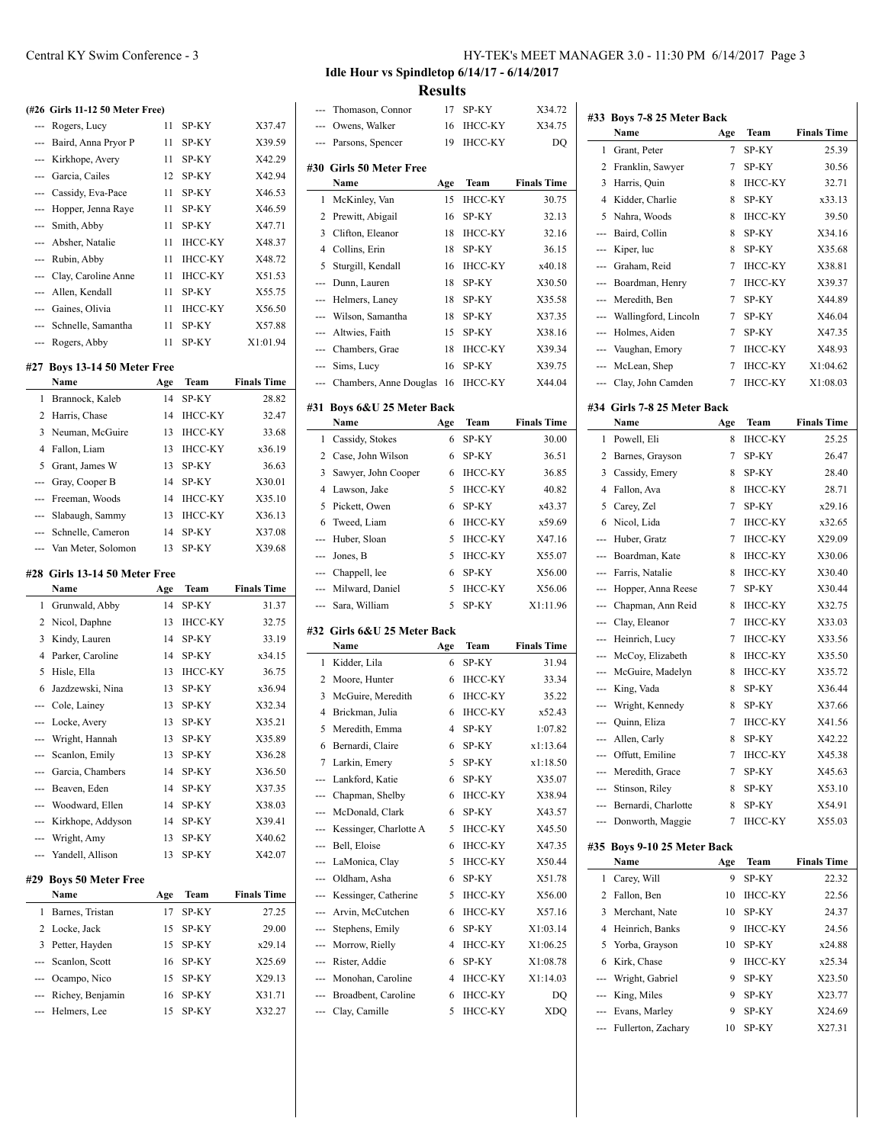|     | (#26 Girls 11-12 50 Meter Free)   |     |                |                    |
|-----|-----------------------------------|-----|----------------|--------------------|
| --- | Rogers, Lucy                      | 11  | SP-KY          | X37.47             |
|     |                                   | 11  |                |                    |
| --- | Baird, Anna Pryor P               |     | SP-KY          | X39.59             |
|     | --- Kirkhope, Avery               | 11  | SP-KY          | X42.29             |
|     | --- Garcia, Cailes                | 12  | SP-KY          | X42.94             |
|     | --- Cassidy, Eva-Pace             | 11  | SP-KY          | X46.53             |
| --- | Hopper, Jenna Raye                | 11  | SP-KY          | X46.59             |
| --- | Smith, Abby                       | 11  | SP-KY          | X47.71             |
| --- | Absher, Natalie                   | 11  | <b>IHCC-KY</b> | X48.37             |
| --- | Rubin, Abby                       | 11  | <b>IHCC-KY</b> | X48.72             |
| --- | Clay, Caroline Anne               | 11  | <b>IHCC-KY</b> | X51.53             |
| --- | Allen, Kendall                    | 11  | SP-KY          | X55.75             |
|     | --- Gaines, Olivia                | 11  | <b>IHCC-KY</b> | X56.50             |
|     | --- Schnelle, Samantha            | 11  | SP-KY          | X57.88             |
| --- | Rogers, Abby                      | 11  | SP-KY          | X1:01.94           |
| #27 | Boys 13-14 50 Meter Free          |     |                |                    |
|     | Name                              | Age | Team           | <b>Finals Time</b> |
| 1   | Brannock, Kaleb                   | 14  | SP-KY          | 28.82              |
| 2   | Harris, Chase                     | 14  | <b>IHCC-KY</b> | 32.47              |
| 3   | Neuman, McGuire                   | 13  | <b>IHCC-KY</b> | 33.68              |
| 4   | Fallon, Liam                      | 13  | <b>IHCC-KY</b> | x36.19             |
| 5   | Grant, James W                    | 13  | SP-KY          | 36.63              |
| --- | Gray, Cooper B                    | 14  | SP-KY          | X30.01             |
| --- | Freeman, Woods                    | 14  | <b>IHCC-KY</b> | X35.10             |
|     | --- Slabaugh, Sammy               | 13  | <b>IHCC-KY</b> | X36.13             |
|     | --- Schnelle, Cameron             | 14  | SP-KY          | X37.08             |
| --- | Van Meter, Solomon                | 13  | SP-KY          | X39.68             |
|     | #28 Girls 13-14 50 Meter Free     |     |                |                    |
|     | Name                              | Age | Team           | <b>Finals Time</b> |
| 1   | Grunwald, Abby                    | 14  | SP-KY          | 31.37              |
| 2   | Nicol, Daphne                     | 13  | <b>IHCC-KY</b> | 32.75              |
| 3   | Kindy, Lauren                     | 14  | SP-KY          | 33.19              |
| 4   | Parker, Caroline                  | 14  | SP-KY          | x34.15             |
| 5   | Hisle, Ella                       | 13  | <b>IHCC-KY</b> | 36.75              |
| 6   | Jazdzewski, Nina                  | 13  | SP-KY          | x36.94             |
|     | --- Cole, Lainey                  | 13  | SP-KY          | X32.34             |
|     | --- Locke, Avery                  | 13  | SP-KY          | X35.21             |
|     | Wright, Hannah                    | 13  | SP-KY          | X35.89             |
|     | --- Scanlon, Emily                | 13  | SP-KY          | X36.28             |
|     | -- Garcia, Chambers               | 14  | SP-KY          | X36.50             |
|     | --- Beaven, Eden                  | 14  | SP-KY          | X37.35             |
|     | --- Woodward, Ellen               | 14  | SP-KY          | X38.03             |
|     | --- Kirkhope, Addyson             | 14  | SP-KY          | X39.41             |
|     | --- Wright, Amy                   | 13  | SP-KY          | X40.62             |
|     | --- Yandell, Allison              | 13  | SP-KY          | X42.07             |
|     |                                   |     |                |                    |
| #29 | <b>Boys 50 Meter Free</b><br>Name |     |                |                    |
|     |                                   | Age | Team           | <b>Finals Time</b> |
| 1   | Barnes, Tristan                   | 17  | SP-KY          | 27.25              |

| <b>Name</b>          | Age | Team     | <b>Finals Time</b> |
|----------------------|-----|----------|--------------------|
| 1 Barnes, Tristan    |     | SP-KY    | 27.25              |
| 2 Locke, Jack        |     | 15 SP-KY | 29.00              |
| 3 Petter, Hayden     |     | 15 SP-KY | x29.14             |
| --- Scanlon, Scott   |     | 16 SP-KY | X25.69             |
| --- Ocampo, Nico     |     | 15 SP-KY | X29.13             |
| --- Richey, Benjamin |     | 16 SP-KY | X31.71             |
| --- Helmers, Lee     | 15. | SP-KY    | X32.27             |

**Idle Hour vs Spindletop 6/14/17 - 6/14/2017**

**Results**

|                |                             | zsults |                |                    |
|----------------|-----------------------------|--------|----------------|--------------------|
|                | Thomason, Connor            | 17     | SP-KY          | X34.72             |
|                | Owens, Walker               | 16     | IHCC-KY        | X34.75             |
| $\overline{a}$ | Parsons, Spencer            | 19     | <b>IHCC-KY</b> | DQ                 |
|                | #30 Girls 50 Meter Free     |        |                |                    |
|                | Name                        | Age    | Team           | <b>Finals Time</b> |
| 1              | McKinley, Van               | 15     | <b>IHCC-KY</b> | 30.75              |
| 2              | Prewitt, Abigail            | 16     | SP-KY          | 32.13              |
| 3              | Clifton, Eleanor            | 18     | <b>IHCC-KY</b> | 32.16              |
| 4              | Collins, Erin               | 18     | SP-KY          | 36.15              |
| 5              | Sturgill, Kendall           | 16     | <b>IHCC-KY</b> | x40.18             |
| ---            | Dunn, Lauren                | 18     | SP-KY          | X30.50             |
|                | Helmers, Laney              | 18     | SP-KY          | X35.58             |
|                | Wilson, Samantha            | 18     | SP-KY          | X37.35             |
| <u>.</u>       | Altwies, Faith              | 15     | SP-KY          | X38.16             |
| ---            | Chambers, Grae              | 18     | ІНСС-КҮ        | X39.34             |
| ---            | Sims, Lucy                  | 16     | SP-KY          | X39.75             |
| ---            | Chambers, Anne Douglas      | 16     | ІНСС-КҮ        | X44.04             |
|                |                             |        |                |                    |
| #31            | Boys 6&U 25 Meter Back      |        |                |                    |
|                | Name                        | Age    | Team           | <b>Finals Time</b> |
| 1              | Cassidy, Stokes             | 6      | SP-KY          | 30.00              |
| 2              | Case, John Wilson           | 6      | SP-KY          | 36.51              |
| 3              | Sawyer, John Cooper         | 6      | IHCC-KY        | 36.85              |
| $\overline{4}$ | Lawson, Jake                | 5      | <b>IHCC-KY</b> | 40.82              |
| 5              | Pickett, Owen               | 6      | SP-KY          | x43.37             |
| 6              | Tweed, Liam                 | 6      | <b>IHCC-KY</b> | x59.69             |
| ---            | Huber, Sloan                | 5      | <b>IHCC-KY</b> | X47.16             |
| ---            | Jones, B                    | 5      | <b>IHCC-KY</b> | X55.07             |
|                |                             |        |                |                    |
| ---            | Chappell, lee               | 6      | SP-KY          | X56.00             |
| ---            | Milward, Daniel             | 5      | <b>IHCC-KY</b> | X56.06             |
| ---            | Sara, William               | 5      | SP-KY          | X1:11.96           |
|                | #32 Girls 6&U 25 Meter Back |        |                |                    |
|                | Name                        | Age    | Team           | <b>Finals Time</b> |
| 1              | Kidder, Lila                | 6      | SP-KY          | 31.94              |
| 2              | Moore, Hunter               | 6      | <b>IHCC-KY</b> | 33.34              |
| 3              | McGuire, Meredith           | 6      | IHCC-KY        | 35.22              |
| 4              | Brickman, Julia             | 6      | <b>IHCC-KY</b> | x52.43             |
| 5              | Meredith, Emma              | 4      | SP-KY          | 1:07.82            |
| 6              | Bernardi, Claire            | 6      | SP-KY          | x1:13.64           |
| 7              | Larkin, Emery               | 5      | SP-KY          | x1:18.50           |
| ---            | Lankford, Katie             | 6      | SP-KY          | X35.07             |
|                | --- Chapman, Shelby         | 6      | <b>IHCC-KY</b> | X38.94             |
| ---            | McDonald, Clark             | 6      | SP-KY          | X43.57             |
| $---$          | Kessinger, Charlotte A      | 5      | <b>IHCC-KY</b> | X45.50             |
| ---            | Bell, Eloise                | 6      | <b>IHCC-KY</b> | X47.35             |
| ---            | LaMonica, Clay              | 5      | <b>IHCC-KY</b> | X50.44             |
| ---            | Oldham, Asha                | 6      | SP-KY          | X51.78             |
| ---            | Kessinger, Catherine        | 5      | ІНСС-КҮ        | X56.00             |
| $---$          | Arvin, McCutchen            | 6      | <b>IHCC-KY</b> | X57.16             |
| ---            | Stephens, Emily             | 6      | SP-KY          | X1:03.14           |
| ---            | Morrow, Rielly              | 4      | ІНСС-КҮ        | X1:06.25           |
|                | --- Rister, Addie           | 6      | SP-KY          | X1:08.78           |
|                | --- Monohan, Caroline       | 4      | <b>IHCC-KY</b> | X1:14.03           |
|                | --- Broadbent, Caroline     | 6      | <b>IHCC-KY</b> | DQ                 |

| #33                                                                                                                                                                                                                                                                                                                                                                                                                                                                        | Boys 7-8 25 Meter Back      |     |                |                    |
|----------------------------------------------------------------------------------------------------------------------------------------------------------------------------------------------------------------------------------------------------------------------------------------------------------------------------------------------------------------------------------------------------------------------------------------------------------------------------|-----------------------------|-----|----------------|--------------------|
|                                                                                                                                                                                                                                                                                                                                                                                                                                                                            | Name                        | Age | Team           | <b>Finals Time</b> |
| 1                                                                                                                                                                                                                                                                                                                                                                                                                                                                          | Grant, Peter                | 7   | SP-KY          | 25.39              |
| 2                                                                                                                                                                                                                                                                                                                                                                                                                                                                          | Franklin, Sawyer            | 7   | SP-KY          | 30.56              |
| 3                                                                                                                                                                                                                                                                                                                                                                                                                                                                          | Harris, Quin                | 8   | <b>IHCC-KY</b> | 32.71              |
| 4                                                                                                                                                                                                                                                                                                                                                                                                                                                                          | Kidder, Charlie             | 8   | SP-KY          | x33.13             |
| 5                                                                                                                                                                                                                                                                                                                                                                                                                                                                          | Nahra, Woods                | 8   | <b>IHCC-KY</b> | 39.50              |
| ---                                                                                                                                                                                                                                                                                                                                                                                                                                                                        | Baird, Collin               | 8   | SP-KY          | X34.16             |
| ---                                                                                                                                                                                                                                                                                                                                                                                                                                                                        | Kiper, luc                  | 8   | SP-KY          | X35.68             |
| $---$                                                                                                                                                                                                                                                                                                                                                                                                                                                                      | Graham, Reid                | 7   | <b>IHCC-KY</b> | X38.81             |
| $\frac{1}{2} \left( \frac{1}{2} \right) \left( \frac{1}{2} \right) \left( \frac{1}{2} \right) \left( \frac{1}{2} \right) \left( \frac{1}{2} \right) \left( \frac{1}{2} \right) \left( \frac{1}{2} \right) \left( \frac{1}{2} \right) \left( \frac{1}{2} \right) \left( \frac{1}{2} \right) \left( \frac{1}{2} \right) \left( \frac{1}{2} \right) \left( \frac{1}{2} \right) \left( \frac{1}{2} \right) \left( \frac{1}{2} \right) \left( \frac{1}{2} \right) \left( \frac$ | Boardman, Henry             | 7   | <b>IHCC-KY</b> | X39.37             |
| $\overline{a}$                                                                                                                                                                                                                                                                                                                                                                                                                                                             | Meredith, Ben               | 7   | SP-KY          | X44.89             |
| ---                                                                                                                                                                                                                                                                                                                                                                                                                                                                        | Wallingford, Lincoln        | 7   | SP-KY          | X46.04             |
| ---                                                                                                                                                                                                                                                                                                                                                                                                                                                                        | Holmes, Aiden               | 7   | SP-KY          | X47.35             |
| $\overline{a}$                                                                                                                                                                                                                                                                                                                                                                                                                                                             | Vaughan, Emory              | 7   | <b>IHCC-KY</b> | X48.93             |
| $\overline{a}$                                                                                                                                                                                                                                                                                                                                                                                                                                                             | McLean, Shep                | 7   | <b>IHCC-KY</b> | X1:04.62           |
| ---                                                                                                                                                                                                                                                                                                                                                                                                                                                                        | Clay, John Camden           | 7   | <b>IHCC-KY</b> | X1:08.03           |
|                                                                                                                                                                                                                                                                                                                                                                                                                                                                            | #34 Girls 7-8 25 Meter Back |     |                |                    |
|                                                                                                                                                                                                                                                                                                                                                                                                                                                                            | Name                        | Age | Team           | <b>Finals Time</b> |
| 1                                                                                                                                                                                                                                                                                                                                                                                                                                                                          | Powell, Eli                 | 8   | <b>IHCC-KY</b> | 25.25              |
| 2                                                                                                                                                                                                                                                                                                                                                                                                                                                                          | Barnes, Grayson             | 7   | SP-KY          | 26.47              |
| 3                                                                                                                                                                                                                                                                                                                                                                                                                                                                          | Cassidy, Emery              | 8   | SP-KY          | 28.40              |
| 4                                                                                                                                                                                                                                                                                                                                                                                                                                                                          | Fallon, Ava                 | 8   | <b>IHCC-KY</b> | 28.71              |
| 5                                                                                                                                                                                                                                                                                                                                                                                                                                                                          | Carey, Zel                  | 7   | SP-KY          | x29.16             |
| 6                                                                                                                                                                                                                                                                                                                                                                                                                                                                          | Nicol, Lida                 | 7   | <b>IHCC-KY</b> | x32.65             |
| ---                                                                                                                                                                                                                                                                                                                                                                                                                                                                        | Huber, Gratz                | 7   | <b>IHCC-KY</b> | X29.09             |
| $\overline{a}$                                                                                                                                                                                                                                                                                                                                                                                                                                                             | Boardman, Kate              | 8   | <b>IHCC-KY</b> | X30.06             |
| $---$                                                                                                                                                                                                                                                                                                                                                                                                                                                                      | Farris, Natalie             | 8   | <b>IHCC-KY</b> | X30.40             |
|                                                                                                                                                                                                                                                                                                                                                                                                                                                                            | Hopper, Anna Reese          | 7   | SP-KY          | X30.44             |
|                                                                                                                                                                                                                                                                                                                                                                                                                                                                            | Chapman, Ann Reid           | 8   | <b>IHCC-KY</b> | X32.75             |
| $---$                                                                                                                                                                                                                                                                                                                                                                                                                                                                      | Clay, Eleanor               | 7   | <b>IHCC-KY</b> | X33.03             |
| $---$                                                                                                                                                                                                                                                                                                                                                                                                                                                                      | Heinrich, Lucy              | 7   | <b>IHCC-KY</b> | X33.56             |
| ---                                                                                                                                                                                                                                                                                                                                                                                                                                                                        | McCoy, Elizabeth            | 8   | <b>IHCC-KY</b> | X35.50             |
| ---                                                                                                                                                                                                                                                                                                                                                                                                                                                                        | McGuire, Madelyn            | 8   | <b>IHCC-KY</b> | X35.72             |
| $\cdots$                                                                                                                                                                                                                                                                                                                                                                                                                                                                   | King, Vada                  | 8   | SP-KY          | X36.44             |
|                                                                                                                                                                                                                                                                                                                                                                                                                                                                            | --- Wright, Kennedy         | 8   | SP-KY          | X37.66             |
|                                                                                                                                                                                                                                                                                                                                                                                                                                                                            | --- Quinn, Eliza            | 7   | <b>IHCC-KY</b> | X41.56             |
|                                                                                                                                                                                                                                                                                                                                                                                                                                                                            | --- Allen, Carly            | 8   | SP-KY          | X42.22             |
| ---                                                                                                                                                                                                                                                                                                                                                                                                                                                                        | Offutt, Emiline             | 7   | <b>IHCC-KY</b> | X45.38             |
|                                                                                                                                                                                                                                                                                                                                                                                                                                                                            | --- Meredith, Grace         | 7   | SP-KY          | X45.63             |
|                                                                                                                                                                                                                                                                                                                                                                                                                                                                            | Stinson, Riley              | 8   | SP-KY          | X53.10             |
|                                                                                                                                                                                                                                                                                                                                                                                                                                                                            | --- Bernardi, Charlotte     | 8   | SP-KY          | X54.91             |
|                                                                                                                                                                                                                                                                                                                                                                                                                                                                            | --- Donworth, Maggie        | 7   | IHCC-KY        | X55.03             |
|                                                                                                                                                                                                                                                                                                                                                                                                                                                                            | #35 Boys 9-10 25 Meter Back |     |                |                    |
|                                                                                                                                                                                                                                                                                                                                                                                                                                                                            | Name                        | Age | Team           | <b>Finals Time</b> |
| 1                                                                                                                                                                                                                                                                                                                                                                                                                                                                          | Carey, Will                 | 9   | SP-KY          | 22.32              |
| 2                                                                                                                                                                                                                                                                                                                                                                                                                                                                          | Fallon, Ben                 | 10  | IHCC-KY        | 22.56              |
| 3                                                                                                                                                                                                                                                                                                                                                                                                                                                                          | Merchant, Nate              | 10  | SP-KY          | 24.37              |
| 4                                                                                                                                                                                                                                                                                                                                                                                                                                                                          | Heinrich, Banks             | 9   | <b>IHCC-KY</b> | 24.56              |
| 5                                                                                                                                                                                                                                                                                                                                                                                                                                                                          | Yorba, Grayson              | 10  | SP-KY          | x24.88             |
| 6                                                                                                                                                                                                                                                                                                                                                                                                                                                                          | Kirk, Chase                 | 9   | <b>IHCC-KY</b> | x25.34             |
| ---                                                                                                                                                                                                                                                                                                                                                                                                                                                                        | Wright, Gabriel             | 9   | SP-KY          | X23.50             |
| ---                                                                                                                                                                                                                                                                                                                                                                                                                                                                        | King, Miles                 | 9   | SP-KY          | X23.77             |
| $---$                                                                                                                                                                                                                                                                                                                                                                                                                                                                      | Evans, Marley               | 9   | SP-KY          | X24.69             |
| ---                                                                                                                                                                                                                                                                                                                                                                                                                                                                        | Fullerton, Zachary          | 10  | SP-KY          | X27.31             |
|                                                                                                                                                                                                                                                                                                                                                                                                                                                                            |                             |     |                |                    |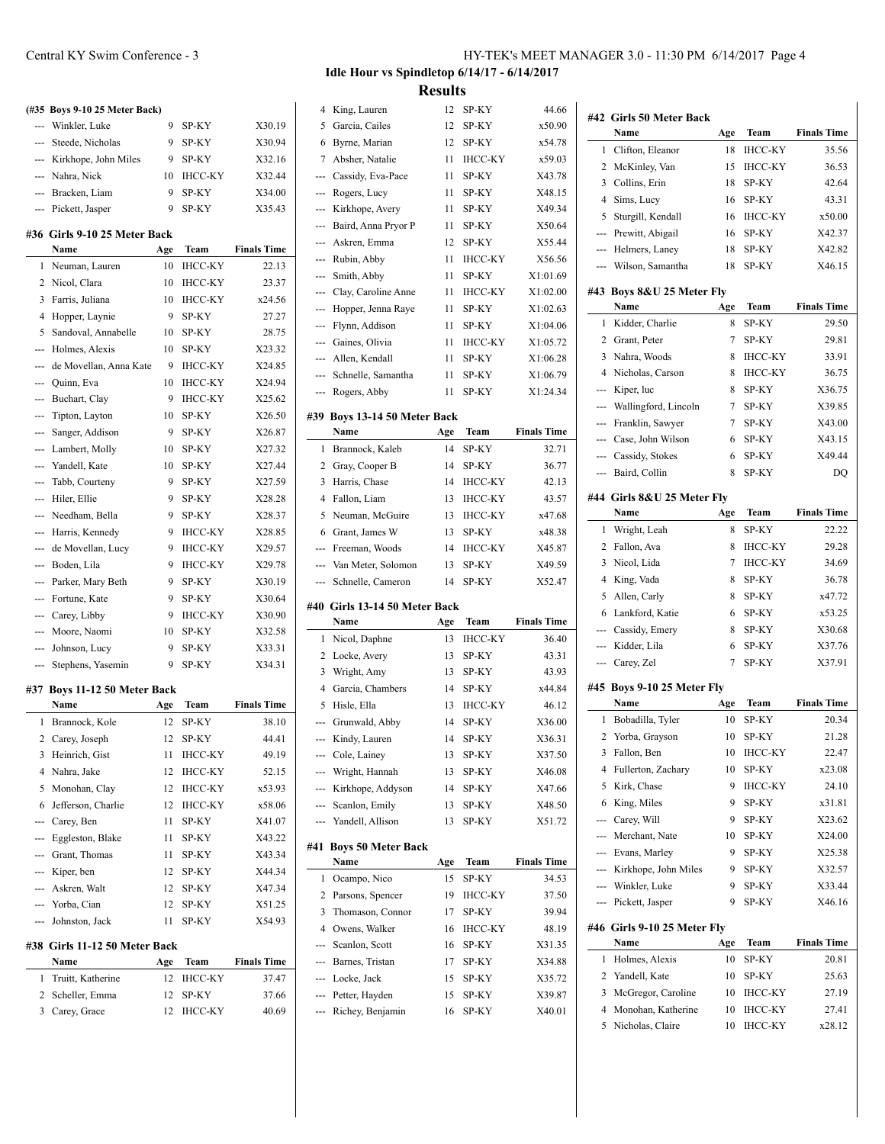|                                                                                                                                                                                                                                                                                                                                                                                                                                                                            | (#35 Boys 9-10 25 Meter Back)               |          |                |                    |
|----------------------------------------------------------------------------------------------------------------------------------------------------------------------------------------------------------------------------------------------------------------------------------------------------------------------------------------------------------------------------------------------------------------------------------------------------------------------------|---------------------------------------------|----------|----------------|--------------------|
|                                                                                                                                                                                                                                                                                                                                                                                                                                                                            | --- Winkler, Luke                           | 9        | SP-KY          | X30.19             |
|                                                                                                                                                                                                                                                                                                                                                                                                                                                                            | --- Steede, Nicholas                        | 9        | SP-KY          | X30.94             |
|                                                                                                                                                                                                                                                                                                                                                                                                                                                                            |                                             | 9        | SP-KY          | X32.16             |
|                                                                                                                                                                                                                                                                                                                                                                                                                                                                            | --- Kirkhope, John Miles<br>--- Nahra, Nick | 10       | <b>IHCC-KY</b> | X32.44             |
| ---                                                                                                                                                                                                                                                                                                                                                                                                                                                                        |                                             | 9        |                | X34.00             |
|                                                                                                                                                                                                                                                                                                                                                                                                                                                                            | Bracken, Liam                               | 9        | SP-KY<br>SP-KY | X35.43             |
|                                                                                                                                                                                                                                                                                                                                                                                                                                                                            | --- Pickett, Jasper                         |          |                |                    |
|                                                                                                                                                                                                                                                                                                                                                                                                                                                                            | #36 Girls 9-10 25 Meter Back<br>Name        | Age      | Team           | <b>Finals Time</b> |
| 1                                                                                                                                                                                                                                                                                                                                                                                                                                                                          | Neuman, Lauren                              | 10       | <b>IHCC-KY</b> | 22.13              |
| 2                                                                                                                                                                                                                                                                                                                                                                                                                                                                          | Nicol, Clara                                | 10       | <b>IHCC-KY</b> | 23.37              |
| 3                                                                                                                                                                                                                                                                                                                                                                                                                                                                          | Farris, Juliana                             | 10       | <b>IHCC-KY</b> | x24.56             |
| $\overline{4}$                                                                                                                                                                                                                                                                                                                                                                                                                                                             |                                             | 9        | SP-KY          | 27.27              |
| 5                                                                                                                                                                                                                                                                                                                                                                                                                                                                          | Hopper, Laynie                              |          |                |                    |
| ---                                                                                                                                                                                                                                                                                                                                                                                                                                                                        | Sandoval, Annabelle                         | 10<br>10 | SP-KY          | 28.75<br>X23.32    |
|                                                                                                                                                                                                                                                                                                                                                                                                                                                                            | Holmes, Alexis                              |          | SP-KY          |                    |
| $-$                                                                                                                                                                                                                                                                                                                                                                                                                                                                        | de Movellan, Anna Kate                      | 9        | IHCC-KY        | X24.85             |
|                                                                                                                                                                                                                                                                                                                                                                                                                                                                            | Quinn, Eva                                  | 10       | <b>IHCC-KY</b> | X24.94             |
| ---                                                                                                                                                                                                                                                                                                                                                                                                                                                                        | Buchart, Clay                               | 9        | <b>IHCC-KY</b> | X25.62             |
| ---                                                                                                                                                                                                                                                                                                                                                                                                                                                                        | Tipton, Layton                              | 10       | SP-KY          | X26.50             |
|                                                                                                                                                                                                                                                                                                                                                                                                                                                                            | Sanger, Addison                             | 9        | SP-KY          | X26.87             |
| ---                                                                                                                                                                                                                                                                                                                                                                                                                                                                        | Lambert, Molly                              | 10       | SP-KY          | X27.32             |
| ---                                                                                                                                                                                                                                                                                                                                                                                                                                                                        | Yandell, Kate                               | 10       | SP-KY          | X27.44             |
| ---                                                                                                                                                                                                                                                                                                                                                                                                                                                                        | Tabb, Courteny                              | 9        | SP-KY          | X27.59             |
| ---                                                                                                                                                                                                                                                                                                                                                                                                                                                                        | Hiler, Ellie                                | 9        | SP-KY          | X28.28             |
|                                                                                                                                                                                                                                                                                                                                                                                                                                                                            | --- Needham, Bella                          | 9        | SP-KY          | X28.37             |
|                                                                                                                                                                                                                                                                                                                                                                                                                                                                            | --- Harris, Kennedy                         | 9        | <b>IHCC-KY</b> | X28.85             |
|                                                                                                                                                                                                                                                                                                                                                                                                                                                                            | --- de Movellan, Lucy                       | 9        | <b>IHCC-KY</b> | X29.57             |
| ---                                                                                                                                                                                                                                                                                                                                                                                                                                                                        | Boden, Lila                                 | 9        | <b>IHCC-KY</b> | X29.78             |
|                                                                                                                                                                                                                                                                                                                                                                                                                                                                            | Parker, Mary Beth                           | 9        | SP-KY          | X30.19             |
| ---                                                                                                                                                                                                                                                                                                                                                                                                                                                                        | Fortune, Kate                               | 9        | SP-KY          | X30.64             |
| ---                                                                                                                                                                                                                                                                                                                                                                                                                                                                        | Carey, Libby                                | 9        | <b>IHCC-KY</b> | X30.90             |
| $-$                                                                                                                                                                                                                                                                                                                                                                                                                                                                        | Moore, Naomi                                | 10       | SP-KY          | X32.58             |
| $\frac{1}{2} \left( \frac{1}{2} \right) \left( \frac{1}{2} \right) \left( \frac{1}{2} \right) \left( \frac{1}{2} \right) \left( \frac{1}{2} \right) \left( \frac{1}{2} \right) \left( \frac{1}{2} \right) \left( \frac{1}{2} \right) \left( \frac{1}{2} \right) \left( \frac{1}{2} \right) \left( \frac{1}{2} \right) \left( \frac{1}{2} \right) \left( \frac{1}{2} \right) \left( \frac{1}{2} \right) \left( \frac{1}{2} \right) \left( \frac{1}{2} \right) \left( \frac$ | Johnson, Lucy                               | 9        | SP-KY          | X33.31             |
| $\frac{1}{2} \left( \frac{1}{2} \right) \left( \frac{1}{2} \right) \left( \frac{1}{2} \right) \left( \frac{1}{2} \right) \left( \frac{1}{2} \right) \left( \frac{1}{2} \right) \left( \frac{1}{2} \right) \left( \frac{1}{2} \right) \left( \frac{1}{2} \right) \left( \frac{1}{2} \right) \left( \frac{1}{2} \right) \left( \frac{1}{2} \right) \left( \frac{1}{2} \right) \left( \frac{1}{2} \right) \left( \frac{1}{2} \right) \left( \frac{1}{2} \right) \left( \frac$ | Stephens, Yasemin                           | 9        | SP-KY          | X34.31             |
|                                                                                                                                                                                                                                                                                                                                                                                                                                                                            | #37 Boys 11-12 50 Meter Back                |          |                |                    |
|                                                                                                                                                                                                                                                                                                                                                                                                                                                                            | Name                                        | Age      | Team           | <b>Finals Time</b> |
| 1                                                                                                                                                                                                                                                                                                                                                                                                                                                                          | Brannock, Kole                              | 12       | SP-KY          | 38.10              |
|                                                                                                                                                                                                                                                                                                                                                                                                                                                                            | 2 Carey, Joseph                             |          | 12 SP-KY       | 44.41              |
| 3                                                                                                                                                                                                                                                                                                                                                                                                                                                                          | Heinrich, Gist                              | 11       | <b>IHCC-KY</b> | 49.19              |
| 4                                                                                                                                                                                                                                                                                                                                                                                                                                                                          | Nahra, Jake                                 | 12       | IHCC-KY        | 52.15              |
| 5                                                                                                                                                                                                                                                                                                                                                                                                                                                                          | Monohan, Clay                               | 12       | <b>IHCC-KY</b> | x53.93             |
| 6                                                                                                                                                                                                                                                                                                                                                                                                                                                                          | Jefferson, Charlie                          | 12       | IHCC-KY        | x58.06             |
|                                                                                                                                                                                                                                                                                                                                                                                                                                                                            | --- Carey, Ben                              | 11       | SP-KY          | X41.07             |
|                                                                                                                                                                                                                                                                                                                                                                                                                                                                            | --- Eggleston, Blake                        | 11       | SP-KY          | X43.22             |
|                                                                                                                                                                                                                                                                                                                                                                                                                                                                            | --- Grant, Thomas                           | 11       | SP-KY          | X43.34             |
|                                                                                                                                                                                                                                                                                                                                                                                                                                                                            | --- Kiper, ben                              | 12       | SP-KY          | X44.34             |
|                                                                                                                                                                                                                                                                                                                                                                                                                                                                            | --- Askren, Walt                            | 12       | SP-KY          | X47.34             |
|                                                                                                                                                                                                                                                                                                                                                                                                                                                                            | --- Yorba, Cian                             | 12       | SP-KY          | X51.25             |
|                                                                                                                                                                                                                                                                                                                                                                                                                                                                            | --- Johnston, Jack                          | 11       | SP-KY          | X54.93             |
|                                                                                                                                                                                                                                                                                                                                                                                                                                                                            | #38 Girls 11-12 50 Meter Back<br>Name       | Age      | Team           | <b>Finals Time</b> |

# 1 Truitt, Katherine 12 IHCC-KY 37.47 2 Scheller, Emma 12 SP-KY 37.66 3 Carey, Grace 12 IHCC-KY 40.69

# **Idle Hour vs Spindletop 6/14/17 - 6/14/2017 Results**

4 King, Lauren 12 SP-KY 44.66

| 5          | Garcia, Cailes                     | 12       | SP-KY          | x50.90             |
|------------|------------------------------------|----------|----------------|--------------------|
| 6          | Byrne, Marian                      | 12       | SP-KY          | x54.78             |
| 7          | Absher, Natalie                    | 11       | <b>IHCC-KY</b> | x59.03             |
| ---        | Cassidy, Eva-Pace                  | 11       | SP-KY          | X43.78             |
| ---        | Rogers, Lucy                       | 11       | SP-KY          | X48.15             |
| ---        | Kirkhope, Avery                    | 11       | SP-KY          | X49.34             |
| ---        | Baird, Anna Pryor P                | 11       | SP-KY          | X50.64             |
| ---        | Askren, Emma                       | 12       | SP-KY          | X55.44             |
| ---        | Rubin, Abby                        | 11       | <b>IHCC-KY</b> | X56.56             |
| ---        | Smith, Abby                        | 11       | SP-KY          | X1:01.69           |
| ---        | Clay, Caroline Anne                | 11       | <b>IHCC-KY</b> | X1:02.00           |
| ---        | Hopper, Jenna Raye                 | 11       | SP-KY          | X1:02.63           |
| ---        | Flynn, Addison                     | 11       | SP-KY          | X1:04.06           |
| ---        | Gaines, Olivia                     | 11       | <b>IHCC-KY</b> | X1:05.72           |
| ---        | Allen, Kendall                     | 11       | SP-KY          | X1:06.28           |
| ---        | Schnelle, Samantha                 | 11       | SP-KY          | X1:06.79           |
| ---        | Rogers, Abby                       | 11       | SP-KY          | X1:24.34           |
|            |                                    |          |                |                    |
| #39        | Boys 13-14 50 Meter Back<br>Name   | Age      | Team           | <b>Finals Time</b> |
| 1          | Brannock, Kaleb                    | 14       | SP-KY          | 32.71              |
| 2          | Gray, Cooper B                     | 14       | SP-KY          | 36.77              |
| 3          | Harris, Chase                      | 14       | <b>IHCC-KY</b> | 42.13              |
| 4          | Fallon, Liam                       | 13       | <b>IHCC-KY</b> | 43.57              |
| 5          | Neuman, McGuire                    | 13       | <b>IHCC-KY</b> | x47.68             |
| 6          | Grant, James W                     | 13       | SP-KY          | x48.38             |
| ---        | Freeman, Woods                     | 14       | <b>IHCC-KY</b> | X45.87             |
| ---        | Van Meter, Solomon                 | 13       | SP-KY          | X49.59             |
|            |                                    |          |                |                    |
|            |                                    |          |                |                    |
| ---        | Schnelle, Cameron                  | 14       | SP-KY          | X52.47             |
|            | #40  Girls 13-14 50 Meter Back     |          |                |                    |
|            | Name                               | Age      | Team           | <b>Finals Time</b> |
| 1          | Nicol, Daphne                      | 13       | <b>IHCC-KY</b> | 36.40              |
| 2          | Locke, Avery                       | 13       | SP-KY          | 43.31              |
| 3          | Wright, Amy                        | 13       | SP-KY          | 43.93              |
| 4          | Garcia, Chambers                   | 14       | SP-KY          | x44.84             |
| 5          | Hisle, Ella                        | 13       | <b>IHCC-KY</b> | 46.12              |
| ---        | Grunwald, Abby                     | 14       | SP-KY          | X36.00             |
| ---        | Kindy, Lauren                      | 14       | SP-KY          | X36.31             |
| ---        | Cole, Lainey                       | 13       | SP-KY          | X37.50             |
| ---        | Wright, Hannah                     | 13       | SP-KY          | X46.08             |
|            | --- Kirkhope, Addyson              | 14       | SP-KY          | X47.66             |
|            | --- Scanlon, Emily                 | 13       | SP-KY          | X48.50             |
|            | --- Yandell, Allison               | 13       | SP-KY          | X51.72             |
| #41        | <b>Boys 50 Meter Back</b>          |          |                |                    |
|            | Name                               | Age      | Team           | <b>Finals Time</b> |
| 1          | Ocampo, Nico                       | 15       | SP-KY          | 34.53              |
| 2          | Parsons, Spencer                   | 19       | ІНСС-КҮ        | 37.50              |
| 3          | Thomason, Connor                   | 17       | SP-KY          | 39.94              |
| 4          | Owens, Walker                      | 16       | <b>IHCC-KY</b> | 48.19              |
| ---        | Scanlon, Scott                     | 16       | SP-KY          | X31.35             |
|            | --- Barnes, Tristan                | 17       | SP-KY          | X34.88             |
|            | --- Locke, Jack                    | 15       | SP-KY          | X35.72             |
| ---<br>--- | Petter, Hayden<br>Richey, Benjamin | 15<br>16 | SP-KY<br>SP-KY | X39.87<br>X40.01   |

|                | #42 Girls 50 Meter Back<br>Name | Age | Team           | <b>Finals Time</b> |
|----------------|---------------------------------|-----|----------------|--------------------|
| 1              | Clifton, Eleanor                | 18  | <b>IHCC-KY</b> | 35.56              |
| 2              | McKinley, Van                   | 15  | <b>IHCC-KY</b> | 36.53              |
| 3              | Collins, Erin                   | 18  | SP-KY          | 42.64              |
| 4              | Sims, Lucy                      | 16  | SP-KY          | 43.31              |
| 5              | Sturgill, Kendall               | 16  | <b>IHCC-KY</b> | x50.00             |
| ---            | Prewitt, Abigail                | 16  | SP-KY          | X42.37             |
|                | --- Helmers, Laney              | 18  | SP-KY          | X42.82             |
| $---$          | Wilson, Samantha                | 18  | SP-KY          | X46.15             |
|                |                                 |     |                |                    |
|                | #43 Boys 8&U 25 Meter Fly       |     |                |                    |
|                | Name                            | Age | Team           | <b>Finals Time</b> |
| 1              | Kidder, Charlie                 | 8   | SP-KY          | 29.50              |
| 2              | Grant, Peter                    | 7   | SP-KY          | 29.81              |
| 3              | Nahra, Woods                    | 8   | <b>IHCC-KY</b> | 33.91              |
| 4              | Nicholas, Carson                | 8   | <b>IHCC-KY</b> | 36.75              |
|                | --- Kiper, luc                  | 8   | <b>SP-KY</b>   | X36.75             |
|                | --- Wallingford, Lincoln        | 7   | SP-KY          | X39.85             |
|                | --- Franklin, Sawyer            | 7   | SP-KY          | X43.00             |
|                | --- Case, John Wilson           | 6   | SP-KY          | X43.15             |
|                | --- Cassidy, Stokes             | 6   | SP-KY          | X49.44             |
| $\overline{a}$ | Baird, Collin                   | 8   | SP-KY          | DO                 |
|                | #44 Girls 8&U 25 Meter Fly      |     |                |                    |
|                | Name                            | Age | Team           | <b>Finals Time</b> |
| $\mathbf{1}$   | Wright, Leah                    | 8   | SP-KY          | 22.22              |
| 2              | Fallon, Ava                     | 8   | <b>IHCC-KY</b> | 29.28              |
| 3              | Nicol, Lida                     | 7   | <b>IHCC-KY</b> | 34.69              |
| 4              | King, Vada                      | 8   | SP-KY          | 36.78              |
| 5              | Allen, Carly                    | 8   | SP-KY          | x47.72             |
| 6              | Lankford, Katie                 | 6   | SP-KY          | x53.25             |
|                | --- Cassidy, Emery              | 8   | SP-KY          | X30.68             |
| ---            | Kidder, Lila                    | 6   | SP-KY          | X37.76             |
|                | --- Carey, Zel                  | 7   | SP-KY          | X37.91             |
|                | #45 Boys 9-10 25 Meter Fly      |     |                |                    |
|                | Name                            | Age | Team           | <b>Finals Time</b> |
| 1              | Bobadilla, Tyler                | 10  | SP-KY          | 20.34              |
| 2              | Yorba, Grayson                  | 10  | SP-KY          | 21.28              |
| 3              | Fallon, Ben                     | 10  | <b>IHCC-KY</b> | 22.47              |
| 4              | Fullerton, Zachary              | 10  | SP-KY          | x23.08             |
| 5              | Kirk, Chase                     | 9   | IHCC-KY        | 24.10              |
| 6              | King, Miles                     | 9   | SP-KY          | x31.81             |
|                | --- Carey, Will                 | 9   | SP-KY          | X23.62             |
|                | --- Merchant, Nate              | 10  | SP-KY          | X24.00             |
|                | --- Evans, Marley               | 9   | SP-KY          | X25.38             |
|                | --- Kirkhope, John Miles        | 9   | SP-KY          | X32.57             |
|                | --- Winkler, Luke               | 9   | SP-KY          | X33.44             |
|                | --- Pickett, Jasper             | 9   | SP-KY          | X46.16             |
|                |                                 |     |                |                    |
|                | #46 Girls 9-10 25 Meter Fly     |     |                |                    |
|                | Name                            | Age | Team           | <b>Finals Time</b> |
| 1              | Holmes, Alexis                  | 10  | SP-KY          | 20.81              |
| $\overline{2}$ | Yandell, Kate                   | 10  | SP-KY          | 25.63              |
| 3              | McGregor, Caroline              | 10  | IHCC-KY        | 27.19              |
| 4              | Monohan, Katherine              | 10  | IHCC-KY        | 27.41              |
| 5              | Nicholas, Claire                | 10  | <b>IHCC-KY</b> | x28.12             |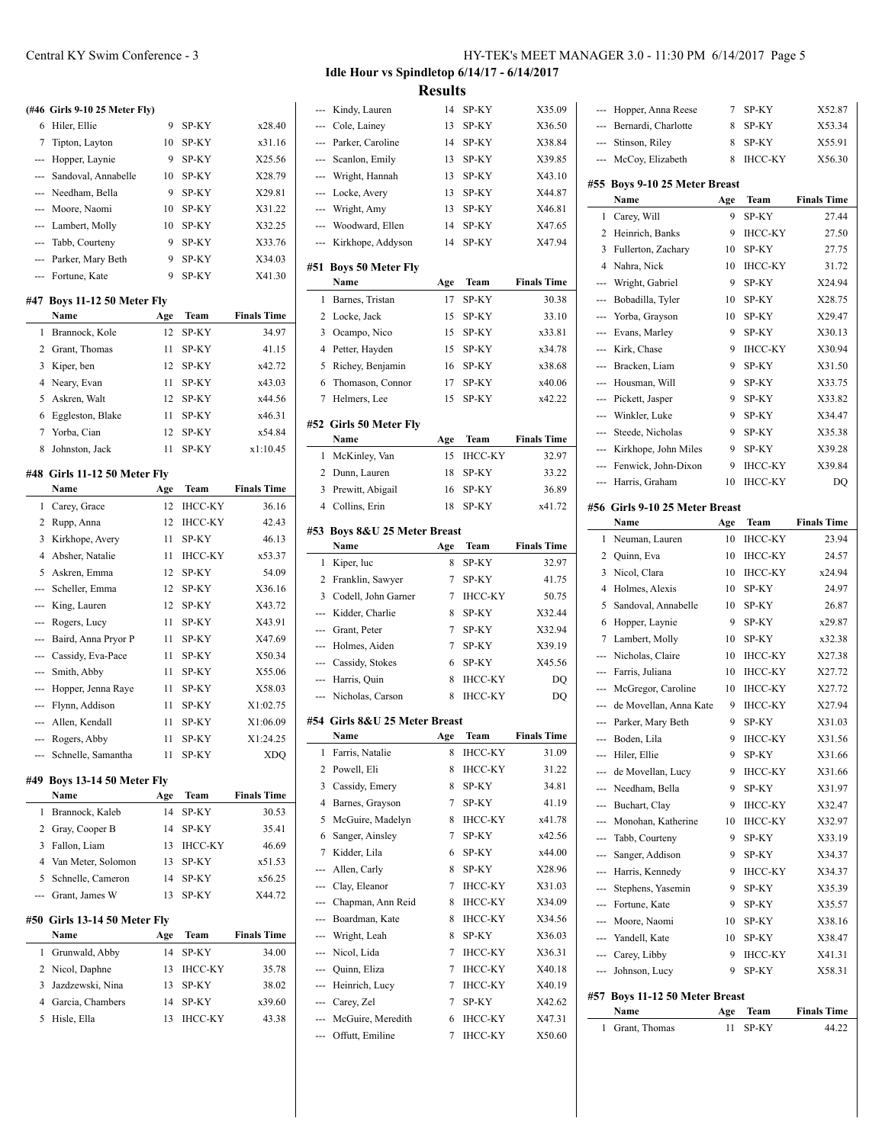**(#46 Girls 9-10 25 Meter Fly)** 6 Hiler, Ellie 9 SP-KY x28.40 7 Tipton, Layton 10 SP-KY x31.16 --- Hopper, Laynie 9 SP-KY X25.56 --- Sandoval, Annabelle 10 SP-KY X28.79 --- Needham, Bella 9 SP-KY X29.81 --- Moore, Naomi 10 SP-KY X31.22 --- Lambert, Molly 10 SP-KY X32.25 --- Tabb, Courteny 9 SP-KY X33.76 --- Parker, Mary Beth 9 SP-KY X34.03 --- Fortune, Kate 9 SP-KY X41.30 **#47 Boys 11-12 50 Meter Fly Name Age Team Finals Time** 1 Brannock, Kole 12 SP-KY 34.97 2 Grant, Thomas 11 SP-KY 41.15 3 Kiper, ben 12 SP-KY x42.72 4 Neary, Evan 11 SP-KY x43.03 5 Askren, Walt 12 SP-KY x44.56 6 Eggleston, Blake 11 SP-KY x46.31 7 Yorba, Cian 12 SP-KY x54.84 8 Johnston, Jack 11 SP-KY x1:10.45 **#48 Girls 11-12 50 Meter Fly Name Age Team Finals Time** 1 Carey, Grace 12 IHCC-KY 36.16 2 Rupp, Anna 12 IHCC-KY 42.43 3 Kirkhope, Avery 11 SP-KY 46.13 4 Absher, Natalie 11 IHCC-KY x53.37 5 Askren, Emma 12 SP-KY 54.09 --- Scheller, Emma 12 SP-KY X36.16 --- King, Lauren 12 SP-KY X43.72 --- Rogers, Lucy 11 SP-KY X43.91 --- Baird, Anna Pryor P 11 SP-KY X47.69 --- Cassidy, Eva-Pace 11 SP-KY X50.34 --- Smith, Abby 11 SP-KY X55.06 --- Hopper, Jenna Raye 11 SP-KY X58.03 --- Flynn, Addison 11 SP-KY X1:02.75 --- Allen, Kendall 11 SP-KY X1:06.09

#### **#49 Boys 13-14 50 Meter Fly**

|    | Name                           | Age | Team           | <b>Finals Time</b> |
|----|--------------------------------|-----|----------------|--------------------|
| 1  | Brannock, Kaleb                | 14  | <b>SP-KY</b>   | 30.53              |
|    | 2 Gray, Cooper B               | 14  | <b>SP-KY</b>   | 35.41              |
| 3. | Fallon, Liam                   | 13  | <b>IHCC-KY</b> | 46.69              |
|    | 4 Van Meter, Solomon           | 13  | <b>SP-KY</b>   | x51.53             |
|    | 5 Schnelle, Cameron            | 14  | <b>SP-KY</b>   | x56.25             |
|    | --- Grant, James W             | 13  | <b>SP-KY</b>   | X44.72             |
|    | #50   Girls 13-14 50 Meter Flv |     |                |                    |
|    | Name                           | Age | <b>Team</b>    | <b>Finals Time</b> |
|    |                                |     |                |                    |

--- Rogers, Abby 11 SP-KY X1:24.25 --- Schnelle, Samantha 11 SP-KY XDQ

|  | 1 Grunwald, Abby   | 14 SP-KY   | 34.00  |
|--|--------------------|------------|--------|
|  | 2 Nicol, Daphne    | 13 IHCC-KY | 35.78  |
|  | 3 Jazdzewski, Nina | 13 SP-KY   | 38.02  |
|  | 4 Garcia, Chambers | 14 SP-KY   | x39.60 |
|  | 5 Hisle, Ella      | 13 IHCC-KY | 43.38  |
|  |                    |            |        |

### Central KY Swim Conference - 3 HY-TEK's MEET MANAGER 3.0 - 11:30 PM 6/14/2017 Page 5

**Idle Hour vs Spindletop 6/14/17 - 6/14/2017**

**Results**

| ---            | Kindy, Lauren                        | 14       | SP-KY                   | X35.09             |
|----------------|--------------------------------------|----------|-------------------------|--------------------|
|                | --- Cole, Lainey                     | 13       | SP-KY                   | X36.50             |
| ---            | Parker, Caroline                     | 14       | SP-KY                   | X38.84             |
| ---            | Scanlon, Emily                       | 13       | SP-KY                   | X39.85             |
| ---            | Wright, Hannah                       | 13       | SP-KY                   | X43.10             |
| ---            | Locke, Avery                         | 13       | SP-KY                   | X44.87             |
| ---            | Wright, Amy                          | 13       | SP-KY                   | X46.81             |
| ---            | Woodward, Ellen                      | 14       | SP-KY                   | X47.65             |
| ---            | Kirkhope, Addyson                    | 14       | SP-KY                   | X47.94             |
| #51            | <b>Boys 50 Meter Fly</b>             |          |                         |                    |
|                | Name                                 | Age      | Team                    | <b>Finals Time</b> |
| 1              | Barnes, Tristan                      | 17       | SP-KY                   | 30.38              |
| 2              | Locke, Jack                          | 15       | SP-KY                   | 33.10              |
| 3              | Ocampo, Nico                         | 15       | SP-KY                   | x33.81             |
| $\overline{4}$ | Petter, Hayden                       | 15       | SP-KY                   | x34.78             |
| 5              | Richey, Benjamin                     | 16       | SP-KY                   | x38.68             |
| 6              | Thomason, Connor                     | 17       | SP-KY                   | x40.06             |
| 7              | Helmers, Lee                         | 15       | SP-KY                   | x42.22             |
|                | #52 Girls 50 Meter Fly               |          |                         |                    |
|                | Name                                 | Age      | Team                    | <b>Finals Time</b> |
| 1              | McKinley, Van                        | 15       | ІНСС-КҮ                 | 32.97              |
| 2              | Dunn, Lauren                         | 18       | SP-KY                   | 33.22              |
| 3              | Prewitt, Abigail                     | 16       | SP-KY                   | 36.89              |
| $\overline{4}$ | Collins, Erin                        | 18       | SP-KY                   | x41.72             |
|                |                                      |          |                         |                    |
|                | #53 Boys 8&U 25 Meter Breast<br>Name |          | Team                    | <b>Finals Time</b> |
|                |                                      | Age      |                         |                    |
|                |                                      |          |                         |                    |
| 1              | Kiper, luc                           | 8        | SP-KY                   | 32.97              |
| 2              | Franklin, Sawyer                     | 7        | SP-KY                   | 41.75              |
| 3              | Codell, John Garner                  | 7        | <b>IHCC-KY</b>          | 50.75              |
| ---            | Kidder, Charlie                      | 8        | SP-KY                   | X32.44             |
|                | --- Grant, Peter                     | 7        | SP-KY                   | X32.94             |
| ---            | Holmes, Aiden                        | 7        | SP-KY                   | X39.19             |
| ---            | Cassidy, Stokes                      | 6        | SP-KY                   | X45.56             |
| ---            | Harris, Quin                         | 8        | <b>IHCC-KY</b>          | DO                 |
| ---            | Nicholas, Carson                     | 8        | <b>IHCC-KY</b>          | <b>DO</b>          |
| #54            | Girls 8&U 25 Meter Breast<br>Name    |          |                         | <b>Finals Time</b> |
| $\mathbf{1}$   | Farris, Natalie                      | Age<br>8 | Team<br>ІНСС-КҮ         | 31.09              |
| 2              | Powell, Eli                          | 8        | <b>IHCC-KY</b>          | 31.22              |
| 3              | Cassidy, Emery                       | 8        | SP-KY                   | 34.81              |
| 4              | Barnes, Grayson                      | 7        | SP-KY                   | 41.19              |
| 5              |                                      | 8        | IHCC-KY                 | x41.78             |
| 6              | McGuire, Madelyn<br>Sanger, Ainsley  | 7        | SP-KY                   | x42.56             |
| 7              |                                      | 6        | SP-KY                   | x44.00             |
| ---            | Kidder, Lila                         | 8        |                         |                    |
| ---            | Allen, Carly<br>Clay, Eleanor        | 7        | SP-KY<br><b>IHCC-KY</b> | X28.96<br>X31.03   |
| ---            | Chapman, Ann Reid                    | 8        | <b>IHCC-KY</b>          | X34.09             |
| ---            | Boardman, Kate                       | 8        | IHCC-KY                 | X34.56             |
| ---            | Wright, Leah                         | 8        | SP-KY                   | X36.03             |
| ---            | Nicol, Lida                          | 7        | <b>IHCC-KY</b>          | X36.31             |
|                |                                      | 7        | IHCC-KY                 | X40.18             |
|                | --- Quinn, Eliza                     | 7        |                         | X40.19             |
|                | --- Heinrich, Lucy                   | 7        | <b>IHCC-KY</b><br>SP-KY |                    |
| ---            | --- Carey, Zel<br>McGuire, Meredith  | 6        | <b>IHCC-KY</b>          | X42.62<br>X47.31   |

 $\overline{a}$ 

 $\overline{\phantom{a}}$ 

| ---            | Hopper, Anna Reese                       | 7        | SP-KY          | X52.87             |
|----------------|------------------------------------------|----------|----------------|--------------------|
| ---            | Bernardi, Charlotte                      | 8        | SP-KY          | X53.34             |
| $\overline{a}$ | Stinson, Riley                           | 8        | SP-KY          | X55.91             |
| ---            | McCoy, Elizabeth                         | 8        | <b>IHCC-KY</b> | X56.30             |
|                |                                          |          |                |                    |
| #55            | <b>Boys 9-10 25 Meter Breast</b><br>Name |          | Team           | <b>Finals Time</b> |
| 1              |                                          | Age<br>9 | SP-KY          | 27.44              |
| 2              | Carey, Will                              | 9        |                |                    |
|                | Heinrich, Banks                          |          | <b>IHCC-KY</b> | 27.50              |
| 3              | Fullerton, Zachary                       | 10       | SP-KY          | 27.75              |
| $\overline{4}$ | Nahra, Nick                              | 10       | <b>IHCC-KY</b> | 31.72              |
| ---            | Wright, Gabriel                          | 9        | SP-KY          | X24.94             |
| ---            | Bobadilla, Tyler                         | 10       | SP-KY          | X28.75             |
| ---            | Yorba, Grayson                           | 10       | SP-KY          | X29.47             |
| ---            | Evans, Marley                            | 9        | SP-KY          | X30.13             |
| ---            | Kirk, Chase                              | 9        | <b>IHCC-KY</b> | X30.94             |
| ---            | Bracken, Liam                            | 9        | SP-KY          | X31.50             |
| $---$          | Housman, Will                            | 9        | SP-KY          | X33.75             |
| ---            | Pickett, Jasper                          | 9        | SP-KY          | X33.82             |
| ---            | Winkler, Luke                            | 9        | SP-KY          | X34.47             |
| $---$          | Steede, Nicholas                         | 9        | SP-KY          | X35.38             |
| ---            | Kirkhope, John Miles                     | 9        | SP-KY          | X39.28             |
| ---            | Fenwick, John-Dixon                      | 9        | <b>IHCC-KY</b> | X39.84             |
| $---$          | Harris, Graham                           | 10       | <b>IHCC-KY</b> | DQ                 |
|                |                                          |          |                |                    |
|                | #56 Girls 9-10 25 Meter Breast           |          |                |                    |
|                | Name                                     | Age      | Team           | <b>Finals Time</b> |
| 1              | Neuman, Lauren                           | 10       | <b>IHCC-KY</b> | 23.94              |
| 2              | Quinn, Eva                               | 10       | <b>IHCC-KY</b> | 24.57              |
| 3              | Nicol, Clara                             | 10       | <b>IHCC-KY</b> | x24.94             |
| 4              | Holmes, Alexis                           | 10       | SP-KY          | 24.97              |
| 5              | Sandoval, Annabelle                      | 10       | SP-KY          | 26.87              |
| 6              | Hopper, Laynie                           | 9        | SP-KY          | x29.87             |
| 7              | Lambert, Molly                           | 10       | SP-KY          | x32.38             |
| $---$          | Nicholas, Claire                         | 10       | <b>IHCC-KY</b> | X27.38             |
| $\cdots$       | Farris, Juliana                          |          |                |                    |
|                |                                          | 10       | <b>IHCC-KY</b> | X27.72             |
| $\cdots$       | McGregor, Caroline                       | 10       | <b>IHCC-KY</b> | X27.72             |
| $---$          | de Movellan, Anna Kate                   | 9        | <b>IHCC-KY</b> | X27.94             |
| ---            | Parker, Mary Beth                        | 9        | SP-KY          | X31.03             |
| ---            | Boden, Lila                              | 9        | <b>IHCC-KY</b> | X31.56             |
| ---            | Hiler, Ellie                             | 9        | SP-KY          | X31.66             |
| ---            | de Movellan, Lucy                        | 9        | <b>IHCC-KY</b> | X31.66             |
|                | --- Needham, Bella                       | 9        | SP-KY          | X31.97             |
| ---            |                                          | 9        |                |                    |
|                | Buchart, Clay                            |          | <b>IHCC-KY</b> | X32.47             |
|                | --- Monohan, Katherine                   | 10       | <b>IHCC-KY</b> | X32.97             |
| ---            | Tabb, Courteny                           | 9        | SP-KY          | X33.19             |
| ---            | Sanger, Addison                          | 9        | SP-KY          | X34.37             |
| ---            | Harris, Kennedy                          | 9        | <b>IHCC-KY</b> | X34.37             |
| ---            | Stephens, Yasemin                        | 9        | SP-KY          | X35.39             |
| ---            | Fortune, Kate                            | 9        | SP-KY          | X35.57             |
|                | --- Moore, Naomi                         | 10       | SP-KY          | X38.16             |
|                | --- Yandell, Kate                        | 10       | SP-KY          | X38.47             |
|                | --- Carey, Libby                         | 9        | IHCC-KY        | X41.31             |
| ---            | Johnson, Lucy                            | 9        | SP-KY          | X58.31             |
|                | #57 Boys 11-12 50 Meter Breast           |          |                |                    |
|                | Name                                     | Age      | Team           | <b>Finals Time</b> |
| 1              | Grant, Thomas                            | 11       | SP-KY          | 44.22              |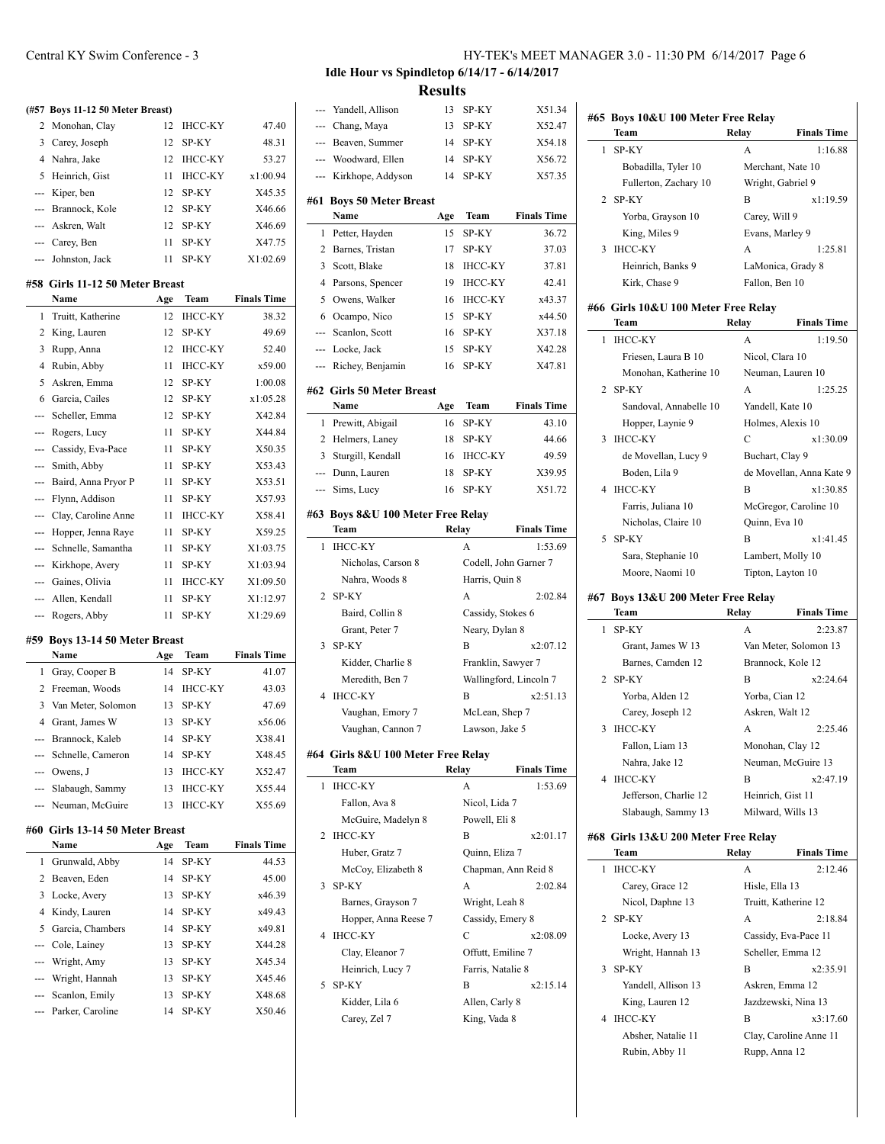|                | (#57 Boys 11-12 50 Meter Breast) |     |                |                    |
|----------------|----------------------------------|-----|----------------|--------------------|
| 2              | Monohan, Clay                    | 12  | <b>IHCC-KY</b> | 47.40              |
| 3              | Carey, Joseph                    | 12  | SP-KY          | 48.31              |
| 4              | Nahra, Jake                      | 12  | <b>IHCC-KY</b> | 53.27              |
| 5              | Heinrich, Gist                   | 11  | <b>IHCC-KY</b> | x1:00.94           |
| ---            | Kiper, ben                       | 12  | SP-KY          | X45.35             |
| ---            | Brannock, Kole                   | 12  | SP-KY          | X46.66             |
| ---            | Askren, Walt                     | 12  | SP-KY          | X46.69             |
| ---            | Carey, Ben                       | 11  | SP-KY          | X47.75             |
| ---            | Johnston, Jack                   | 11  | SP-KY          | X1:02.69           |
|                | #58 Girls 11-12 50 Meter Breast  |     |                |                    |
|                | Name                             | Age | Team           | <b>Finals Time</b> |
| 1              | Truitt, Katherine                | 12  | <b>IHCC-KY</b> | 38.32              |
| 2              | King, Lauren                     | 12  | SP-KY          | 49.69              |
| 3              | Rupp, Anna                       | 12  | <b>IHCC-KY</b> | 52.40              |
| 4              | Rubin, Abby                      | 11  | <b>IHCC-KY</b> | x59.00             |
| 5              | Askren, Emma                     | 12  | SP-KY          | 1:00.08            |
| 6              | Garcia, Cailes                   | 12  | SP-KY          | x1:05.28           |
| ---            | Scheller, Emma                   | 12  | SP-KY          | X42.84             |
| ---            | Rogers, Lucy                     | 11  | SP-KY          | X44.84             |
| ---            | Cassidy, Eva-Pace                | 11  | SP-KY          | X50.35             |
| ---            | Smith, Abby                      | 11  | SP-KY          | X53.43             |
| ---            | Baird, Anna Pryor P              | 11  | SP-KY          | X53.51             |
| ---            | Flynn, Addison                   | 11  | SP-KY          | X57.93             |
| ---            | Clay, Caroline Anne              | 11  | <b>IHCC-KY</b> | X58.41             |
| ---            | Hopper, Jenna Raye               | 11  | SP-KY          | X59.25             |
| ---            | Schnelle, Samantha               | 11  | SP-KY          | X1:03.75           |
| $\overline{a}$ | Kirkhope, Avery                  | 11  | SP-KY          | X1:03.94           |
| ---            | Gaines, Olivia                   | 11  | <b>IHCC-KY</b> | X1:09.50           |
| ---            | Allen, Kendall                   | 11  | SP-KY          | X1:12.97           |
| ---            | Rogers, Abby                     | 11  | SP-KY          | X1:29.69           |
|                | #59 Boys 13-14 50 Meter Breast   |     |                |                    |
|                | Name                             | Age | Team           | <b>Finals Time</b> |
| 1              | Gray, Cooper B                   | 14  | SP-KY          | 41.07              |

| 2 Freeman, Woods      |     | 14 IHCC-KY     | 43.03  |
|-----------------------|-----|----------------|--------|
| 3 Van Meter, Solomon  | 13  | SP-KY          | 47.69  |
| 4 Grant, James W      | 13. | SP-KY          | x56.06 |
| --- Brannock, Kaleb   |     | 14 SP-KY       | X38.41 |
| --- Schnelle, Cameron | 14  | SP-KY          | X48.45 |
| $-$ Owens, J          | 13  | <b>IHCC-KY</b> | X52.47 |
| --- Slabaugh, Sammy   | 13  | <b>IHCC-KY</b> | X55.44 |
| --- Neuman, McGuire   |     | <b>IHCC-KY</b> | X55.69 |

#### **#60 Girls 13-14 50 Meter Breast**

| Name                 | Age | Team         | <b>Finals Time</b> |
|----------------------|-----|--------------|--------------------|
| 1 Grunwald, Abby     | 14  | SP-KY        | 44.53              |
| 2 Beaven, Eden       | 14  | <b>SP-KY</b> | 45.00              |
| 3 Locke, Avery       | 13  | <b>SP-KY</b> | x46.39             |
| 4 Kindy, Lauren      | 14  | <b>SP-KY</b> | x49.43             |
| 5 Garcia, Chambers   | 14  | <b>SP-KY</b> | x49.81             |
| --- Cole, Lainey     | 13  | <b>SP-KY</b> | X44.28             |
| --- Wright, Amy      | 13  | <b>SP-KY</b> | X45.34             |
| --- Wright, Hannah   | 13  | <b>SP-KY</b> | X45.46             |
| --- Scanlon, Emily   | 13  | <b>SP-KY</b> | X48.68             |
| --- Parker, Caroline | 14  | <b>SP-KY</b> | X50.46             |
|                      |     |              |                    |

# **Idle Hour vs Spindletop 6/14/17 - 6/14/2017**

**Results**

 $\overline{\phantom{0}}$ 

 $\overline{\phantom{0}}$ 

 $\overline{\phantom{0}}$ 

 $\sim$ 

| $\overline{a}$ | Yandell, Allison                           | 13    | SP-KY                          | X51.34                 |
|----------------|--------------------------------------------|-------|--------------------------------|------------------------|
|                | --- Chang, Maya                            | 13    | SP-KY                          | X52.47                 |
| ---            | Beaven, Summer                             | 14    | SP-KY                          | X54.18                 |
|                | --- Woodward, Ellen                        | 14    | SP-KY                          | X56.72                 |
| ---            | Kirkhope, Addyson                          | 14    | SP-KY                          | X57.35                 |
|                |                                            |       |                                |                        |
| #61            | <b>Boys 50 Meter Breast</b><br>Name        | Age   | Team                           | <b>Finals Time</b>     |
| 1              | Petter, Hayden                             | 15    | SP-KY                          | 36.72                  |
| 2              | Barnes, Tristan                            | 17    | SP-KY                          | 37.03                  |
| 3              | Scott, Blake                               | 18    | <b>IHCC-KY</b>                 | 37.81                  |
| $\overline{4}$ | Parsons, Spencer                           | 19    | <b>IHCC-KY</b>                 | 42.41                  |
| 5              | Owens, Walker                              | 16    | <b>IHCC-KY</b>                 | x43.37                 |
| 6              | Ocampo, Nico                               | 15    | SP-KY                          | x44.50                 |
|                | --- Scanlon, Scott                         | 16    | SP-KY                          | X37.18                 |
|                | --- Locke, Jack                            | 15    | SP-KY                          | X42.28                 |
| ---            | Richey, Benjamin                           | 16    | SP-KY                          | X47.81                 |
|                |                                            |       |                                |                        |
| #62            | <b>Girls 50 Meter Breast</b>               |       |                                |                        |
|                | Name                                       | Age   | Team                           | <b>Finals Time</b>     |
| 1              | Prewitt, Abigail                           | 16    | SP-KY                          | 43.10                  |
| 2              | Helmers, Laney                             | 18    | SP-KY                          | 44.66                  |
| 3              | Sturgill, Kendall                          | 16    | <b>IHCC-KY</b>                 | 49.59                  |
| ---            | Dunn, Lauren                               | 18    | SP-KY                          | X39.95                 |
| ---            | Sims, Lucy                                 | 16    | SP-KY                          | X51.72                 |
|                | #63 Boys 8&U 100 Meter Free Relay          |       |                                |                        |
|                | Team                                       |       | Relay                          | <b>Finals Time</b>     |
| 1              | <b>IHCC-KY</b>                             |       | A                              | 1:53.69                |
|                | Nicholas, Carson 8                         |       | Codell, John Garner 7          |                        |
|                | Nahra, Woods 8                             |       | Harris, Quin 8                 |                        |
| 2              | SP-KY                                      |       | A                              | 2:02.84                |
|                | Baird, Collin 8                            |       | Cassidy, Stokes 6              |                        |
|                | Grant, Peter 7                             |       | Neary, Dylan 8                 |                        |
| 3              | SP-KY                                      |       | B                              | x2:07.12               |
|                | Kidder, Charlie 8                          |       | Franklin, Sawyer 7             |                        |
|                | Meredith, Ben 7                            |       |                                | Wallingford, Lincoln 7 |
| 4              | <b>IHCC-KY</b>                             |       | B                              | x2:51.13               |
|                | Vaughan, Emory 7                           |       | McLean, Shep 7                 |                        |
|                | Vaughan, Cannon 7                          |       | Lawson, Jake 5                 |                        |
|                |                                            |       |                                |                        |
|                | #64 Girls 8&U 100 Meter Free Relay<br>Team | Relay |                                | <b>Finals Time</b>     |
| 1              | <b>IHCC-KY</b>                             |       | A                              | 1:53.69                |
|                | Fallon, Ava 8                              |       | Nicol, Lida 7                  |                        |
|                | McGuire, Madelyn 8                         |       | Powell, Eli 8                  |                        |
| 2              | <b>IHCC-KY</b>                             |       | В                              | x2:01.17               |
|                | Huber, Gratz 7                             |       | Quinn, Eliza 7                 |                        |
|                | McCoy, Elizabeth 8                         |       | Chapman, Ann Reid 8            |                        |
| 3              | SP-KY                                      |       | A                              | 2:02.84                |
|                |                                            |       |                                |                        |
|                |                                            |       |                                |                        |
| 4              | Barnes, Grayson 7                          |       | Wright, Leah 8                 |                        |
|                | Hopper, Anna Reese 7<br><b>IHCC-KY</b>     |       | Cassidy, Emery 8<br>C          | x2:08.09               |
|                |                                            |       |                                |                        |
|                | Clay, Eleanor 7                            |       | Offutt, Emiline 7              |                        |
| 5              | Heinrich, Lucy 7<br>SP-KY                  |       | Farris, Natalie 8<br>B         | x2:15.14               |
|                | Kidder, Lila 6                             |       |                                |                        |
|                | Carey, Zel 7                               |       | Allen, Carly 8<br>King, Vada 8 |                        |

|     | #65 Boys 10&U 100 Meter Free Relay         |                   |                               |
|-----|--------------------------------------------|-------------------|-------------------------------|
|     | Team                                       | Relay             | <b>Finals Time</b>            |
| 1   | SP-KY                                      | А                 | 1:16.88                       |
|     | Bobadilla, Tyler 10                        |                   | Merchant, Nate 10             |
|     | Fullerton, Zachary 10                      | Wright, Gabriel 9 |                               |
| 2   | SP-KY                                      | B                 | x1:19.59                      |
|     | Yorba, Grayson 10                          | Carey, Will 9     |                               |
|     | King, Miles 9                              | Evans, Marley 9   |                               |
| 3   | <b>IHCC-KY</b>                             | A                 | 1:25.81                       |
|     | Heinrich, Banks 9                          |                   | LaMonica, Grady 8             |
|     | Kirk, Chase 9                              | Fallon, Ben 10    |                               |
|     | #66 Girls 10&U 100 Meter Free Relay        |                   |                               |
| 1   | Team<br><b>IHCC-KY</b>                     | Relay<br>A        | <b>Finals Time</b><br>1:19.50 |
|     | Friesen, Laura B 10                        |                   |                               |
|     | Monohan, Katherine 10                      | Nicol, Clara 10   | Neuman, Lauren 10             |
| 2   | SP-KY                                      | А                 | 1:25.25                       |
|     | Sandoval, Annabelle 10                     | Yandell, Kate 10  |                               |
|     | Hopper, Laynie 9                           |                   | Holmes, Alexis 10             |
| 3   | <b>IHCC-KY</b>                             | C                 | x1:30.09                      |
|     | de Movellan, Lucy 9                        | Buchart, Clay 9   |                               |
|     | Boden, Lila 9                              |                   | de Movellan, Anna Kate 9      |
| 4   | <b>IHCC-KY</b>                             | B                 | x1:30.85                      |
|     | Farris, Juliana 10                         |                   | McGregor, Caroline 10         |
|     | Nicholas, Claire 10                        | Quinn, Eva 10     |                               |
| 5   | SP-KY                                      | B                 | x1:41.45                      |
|     | Sara, Stephanie 10                         |                   | Lambert, Molly 10             |
|     | Moore, Naomi 10                            |                   | Tipton, Layton 10             |
|     |                                            |                   |                               |
|     | #67 Boys 13&U 200 Meter Free Relay<br>Team | Relay             | <b>Finals Time</b>            |
| 1   | SP-KY                                      | А                 | 2:23.87                       |
|     | Grant, James W 13                          |                   | Van Meter, Solomon 13         |
|     | Barnes, Camden 12                          |                   | Brannock, Kole 12             |
| 2   | SP-KY                                      | B                 | x2:24.64                      |
|     | Yorba, Alden 12                            | Yorba, Cian 12    |                               |
|     | Carey, Joseph 12                           | Askren, Walt 12   |                               |
| 3   | <b>IHCC-KY</b>                             | А                 | 2:25.46                       |
|     | Fallon, Liam 13                            |                   | Monohan, Clay 12              |
|     | Nahra, Jake 12                             |                   | Neuman, McGuire 13            |
| 4   | <b>IHCC-KY</b>                             | B                 | x2:47.19                      |
|     | Jefferson, Charlie 12                      | Heinrich, Gist 11 |                               |
|     | Slabaugh, Sammy 13                         |                   | Milward, Wills 13             |
| #68 | Girls 13&U 200 Meter Free Relay            |                   |                               |
|     | Team                                       | Relay             | <b>Finals Time</b>            |
| 1   | <b>IHCC-KY</b>                             | А                 | 2:12.46                       |
|     | Carey, Grace 12                            | Hisle, Ella 13    |                               |
|     | Nicol, Daphne 13                           |                   | Truitt, Katherine 12          |
| 2   | SP-KY                                      | А                 | 2:18.84                       |
|     | Locke, Avery 13                            |                   | Cassidy, Eva-Pace 11          |
|     | Wright, Hannah 13                          |                   | Scheller, Emma 12             |
| 3   | SP-KY                                      | B                 | x2:35.91                      |
|     | Yandell, Allison 13                        |                   | Askren, Emma 12               |
|     | King, Lauren 12                            |                   | Jazdzewski, Nina 13           |
| 4   | <b>IHCC-KY</b>                             | B                 | x3:17.60                      |
|     | Absher, Natalie 11                         |                   | Clay, Caroline Anne 11        |
|     | Rubin, Abby 11                             | Rupp, Anna 12     |                               |
|     |                                            |                   |                               |